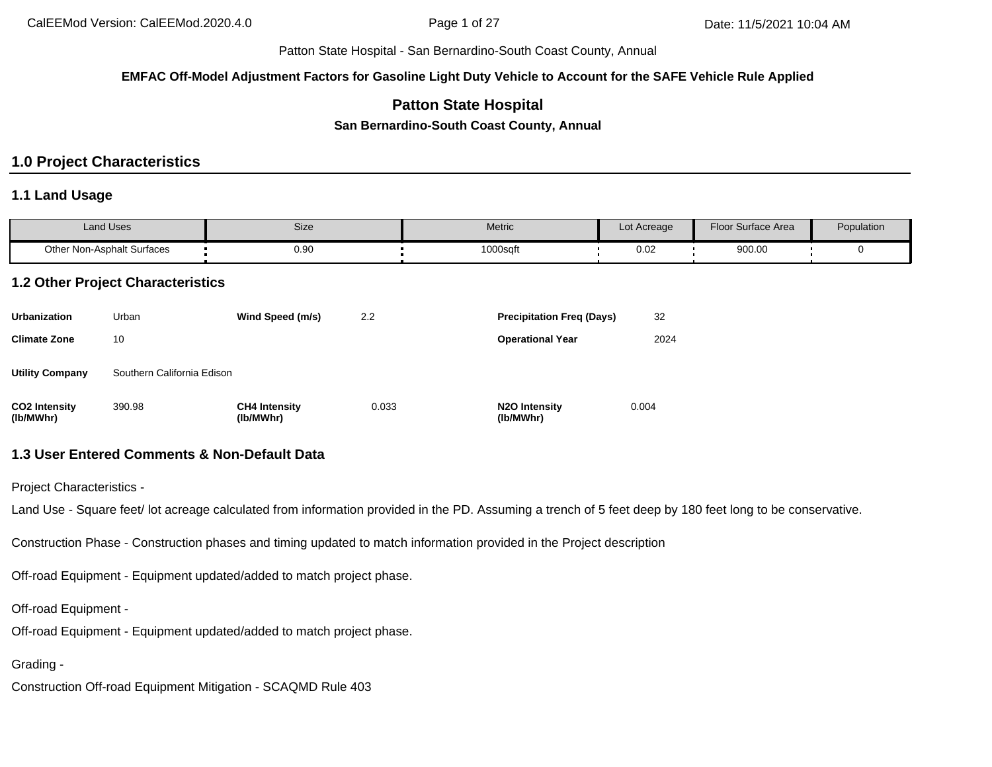**EMFAC Off-Model Adjustment Factors for Gasoline Light Duty Vehicle to Account for the SAFE Vehicle Rule Applied**

## **Patton State Hospital**

**San Bernardino-South Coast County, Annual**

# **1.0 Project Characteristics**

### **1.1 Land Usage**

| Land Uses                         | Size      | Metric  | Lot Acreage | <b>Floor Surface Area</b> | Population |
|-----------------------------------|-----------|---------|-------------|---------------------------|------------|
| <b>Other Non-Asphalt Surfaces</b> | $_{0.90}$ | 1000sqf | 0.02        | 900.00                    |            |

## **1.2 Other Project Characteristics**

| <b>Urbanization</b>               | Urban                      | Wind Speed (m/s)                  | 2.2   | <b>Precipitation Freg (Days)</b> | 32    |
|-----------------------------------|----------------------------|-----------------------------------|-------|----------------------------------|-------|
| <b>Climate Zone</b>               | 10                         |                                   |       | <b>Operational Year</b>          | 2024  |
| <b>Utility Company</b>            | Southern California Edison |                                   |       |                                  |       |
| <b>CO2 Intensity</b><br>(lb/MWhr) | 390.98                     | <b>CH4 Intensity</b><br>(lb/MWhr) | 0.033 | N2O Intensity<br>(lb/MWhr)       | 0.004 |

# **1.3 User Entered Comments & Non-Default Data**

Project Characteristics -

Land Use - Square feet/ lot acreage calculated from information provided in the PD. Assuming a trench of 5 feet deep by 180 feet long to be conservative.

Construction Phase - Construction phases and timing updated to match information provided in the Project description

Off-road Equipment - Equipment updated/added to match project phase.

Off-road Equipment -

Off-road Equipment - Equipment updated/added to match project phase.

Grading -

Construction Off-road Equipment Mitigation - SCAQMD Rule 403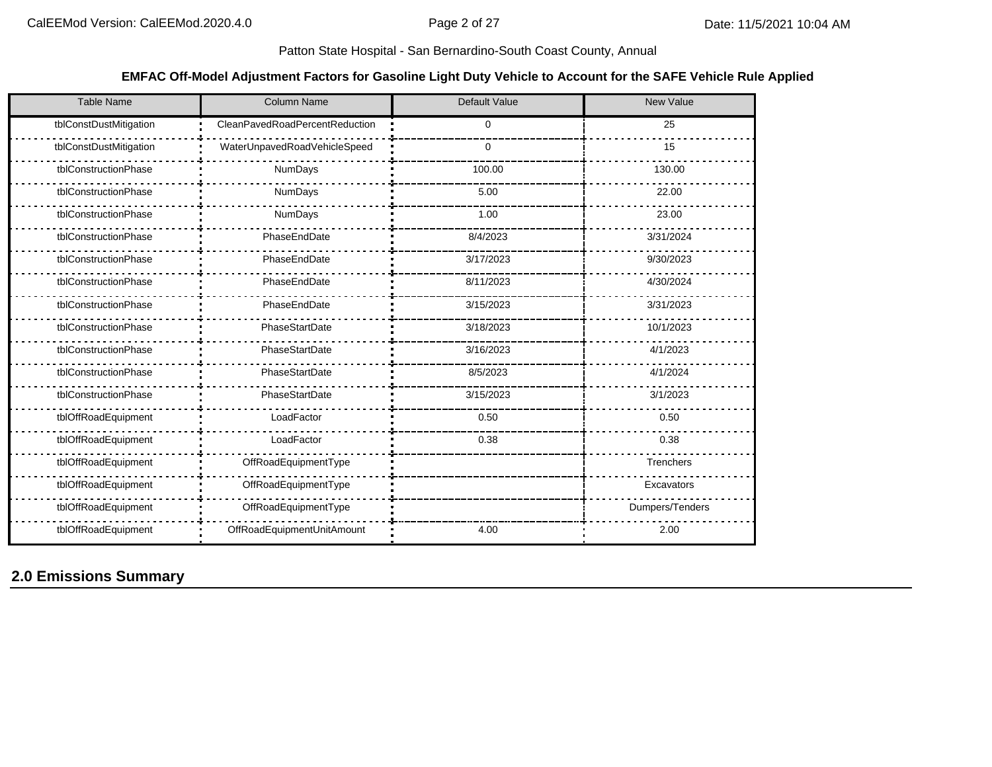### **EMFAC Off-Model Adjustment Factors for Gasoline Light Duty Vehicle to Account for the SAFE Vehicle Rule Applied**

| <b>Table Name</b>      | <b>Column Name</b>             | <b>Default Value</b> | <b>New Value</b> |
|------------------------|--------------------------------|----------------------|------------------|
| tblConstDustMitigation | CleanPavedRoadPercentReduction | $\Omega$             | 25               |
| tblConstDustMitigation | WaterUnpavedRoadVehicleSpeed   | 0                    | 15               |
| tblConstructionPhase   | NumDays                        | 100.00               | 130.00           |
| tblConstructionPhase   | NumDays                        | 5.00                 | 22.00            |
| tblConstructionPhase   | NumDays                        | 1.00                 | 23.00            |
| tblConstructionPhase   | PhaseEndDate                   | 8/4/2023             | 3/31/2024        |
| tblConstructionPhase   | PhaseEndDate                   | 3/17/2023            | 9/30/2023        |
| tblConstructionPhase   | PhaseEndDate                   | 8/11/2023            | 4/30/2024        |
| tblConstructionPhase   | PhaseEndDate                   | 3/15/2023            | 3/31/2023        |
| tblConstructionPhase   | PhaseStartDate                 | 3/18/2023            | 10/1/2023        |
| tblConstructionPhase   | PhaseStartDate                 | 3/16/2023            | 4/1/2023         |
| tblConstructionPhase   | PhaseStartDate                 | 8/5/2023             | 4/1/2024         |
| tblConstructionPhase   | PhaseStartDate                 | 3/15/2023            | 3/1/2023         |
| tblOffRoadEquipment    | LoadFactor                     | 0.50                 | 0.50             |
| tblOffRoadEquipment    | LoadFactor                     | 0.38                 | 0.38             |
| tblOffRoadEquipment    | OffRoadEquipmentType           |                      | Trenchers        |
| tblOffRoadEquipment    | OffRoadEquipmentType           |                      | Excavators       |
| tblOffRoadEquipment    | OffRoadEquipmentType           |                      | Dumpers/Tenders  |
| tblOffRoadEquipment    | OffRoadEquipmentUnitAmount     | 4.00                 | 2.00             |

**2.0 Emissions Summary**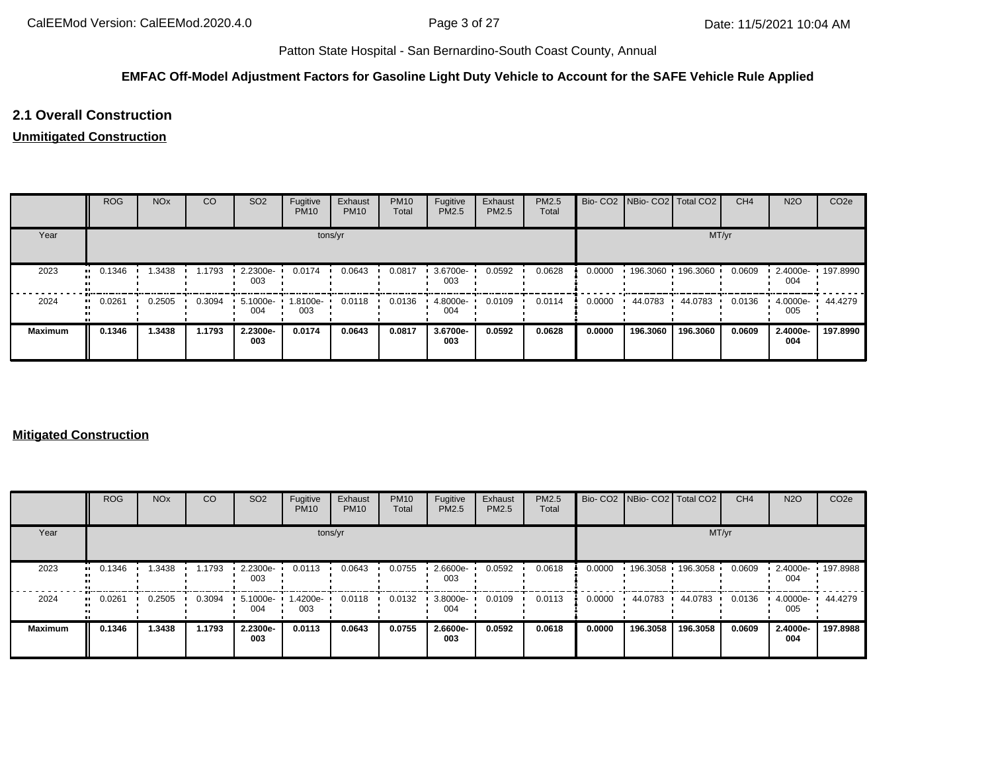### **EMFAC Off-Model Adjustment Factors for Gasoline Light Duty Vehicle to Account for the SAFE Vehicle Rule Applied**

## **2.1 Overall Construction**

### **Unmitigated Construction**

|                | <b>ROG</b> | <b>NO<sub>x</sub></b> | CO     | SO <sub>2</sub> | Fugitive<br><b>PM10</b> | Exhaust<br><b>PM10</b> | <b>PM10</b><br>Total | Fugitive<br>PM2.5 | Exhaust<br><b>PM2.5</b> | <b>PM2.5</b><br>Total |        | Bio- CO2   NBio- CO2   Total CO2 |                     | CH <sub>4</sub> | <b>N2O</b>      | CO <sub>2</sub> e |
|----------------|------------|-----------------------|--------|-----------------|-------------------------|------------------------|----------------------|-------------------|-------------------------|-----------------------|--------|----------------------------------|---------------------|-----------------|-----------------|-------------------|
| Year           |            |                       |        |                 |                         | tons/yr                |                      |                   |                         |                       |        |                                  | MT/yr               |                 |                 |                   |
| 2023           | 0.1346     | 1.3438                | 1.1793 | 2.2300e-<br>003 | 0.0174                  | 0.0643                 | 0.0817               | 3.6700e-<br>003   | 0.0592                  | 0.0628                | 0.0000 |                                  | 196.3060 196.3060 ' | 0.0609          | 2.4000e-<br>004 | $\cdot$ 197.8990  |
| 2024           | 0.0261<br> | 0.2505                | 0.3094 | 5.1000e-<br>004 | 1.8100e-<br>003         | 0.0118                 | 0.0136               | 4.8000e-<br>004   | 0.0109                  | 0.0114                | 0.0000 | 44.0783                          | 44.0783             | 0.0136          | 4.0000e-<br>005 | 44.4279           |
| <b>Maximum</b> | 0.1346     | .3438                 | 1.1793 | 2.2300e-<br>003 | 0.0174                  | 0.0643                 | 0.0817               | 3.6700e-<br>003   | 0.0592                  | 0.0628                | 0.0000 | 196.3060                         | 196.3060            | 0.0609          | 2.4000e-<br>004 | 197.8990          |

### **Mitigated Construction**

|                | <b>ROG</b>             | <b>NO<sub>x</sub></b> | CO     | SO <sub>2</sub> | Fugitive<br><b>PM10</b> | Exhaust<br><b>PM10</b> | <b>PM10</b><br>Total | Fugitive<br><b>PM2.5</b> | Exhaust<br>PM2.5 | PM2.5<br>Total |        | Bio- CO2   NBio- CO2   Total CO2 |                     | CH <sub>4</sub> | <b>N2O</b>      | CO <sub>2e</sub> |
|----------------|------------------------|-----------------------|--------|-----------------|-------------------------|------------------------|----------------------|--------------------------|------------------|----------------|--------|----------------------------------|---------------------|-----------------|-----------------|------------------|
| Year           |                        |                       |        |                 |                         | tons/yr                |                      |                          |                  |                |        |                                  | MT/yr               |                 |                 |                  |
| 2023           | 0.1346<br>$\mathbf{u}$ | .3438                 | 1.1793 | 2.2300e-<br>003 | 0.0113                  | 0.0643                 | 0.0755               | 2.6600e-<br>003          | 0.0592           | 0.0618         | 0.0000 |                                  | 196.3058 196.3058 ' | 0.0609          | 2.4000e-<br>004 | $+197.8988$      |
| 2024           | 0.0261<br>             | 0.2505                | 0.3094 | 5.1000e-<br>004 | -4200e.<br>003          | 0.0118                 | 0.0132               | 3.8000e-<br>004          | 0.0109           | 0.0113         | 0.0000 | 44.0783                          | 44.0783             | 0.0136          | 4.0000e-<br>005 | 44.4279          |
| <b>Maximum</b> | 0.1346                 | 1.3438                | 1.1793 | 2.2300e-<br>003 | 0.0113                  | 0.0643                 | 0.0755               | 2.6600e-<br>003          | 0.0592           | 0.0618         | 0.0000 | 196.3058                         | 196.3058            | 0.0609          | 2.4000e-<br>004 | 197.8988         |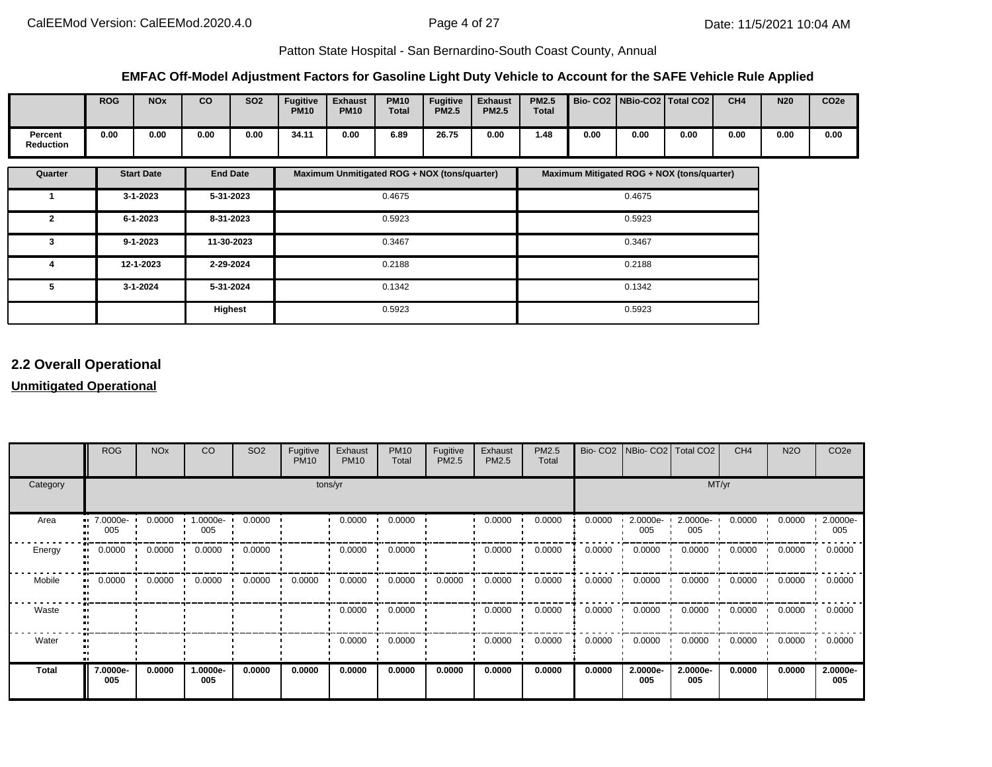### **EMFAC Off-Model Adjustment Factors for Gasoline Light Duty Vehicle to Account for the SAFE Vehicle Rule Applied**

|                             | <b>ROG</b> | <b>NO<sub>x</sub></b> | CO   | <b>SO2</b> | <b>Fugitive</b><br><b>PM10</b> | <b>Exhaust</b><br><b>PM10</b> | <b>PM10</b><br><b>Total</b> | <b>Fugitive</b><br><b>PM2.5</b> | <b>Exhaust</b><br><b>PM2.5</b> | <b>PM2.5</b><br><b>Total</b> |      |      | Bio- CO2   NBio-CO2   Total CO2 | CH <sub>4</sub> | N <sub>20</sub> | CO <sub>2e</sub> |
|-----------------------------|------------|-----------------------|------|------------|--------------------------------|-------------------------------|-----------------------------|---------------------------------|--------------------------------|------------------------------|------|------|---------------------------------|-----------------|-----------------|------------------|
| Percent<br><b>Reduction</b> | 0.00       | 0.00                  | 0.00 | 0.00       | 34.11                          | 0.00                          | 6.89                        | 26.75                           | 0.00                           | 48.،                         | 0.00 | 0.00 | 0.00                            | 0.00            | 0.00            | 0.00             |

| Quarter | <b>Start Date</b> | <b>End Date</b> | Maximum Unmitigated ROG + NOX (tons/quarter) | Maximum Mitigated ROG + NOX (tons/quarter) |
|---------|-------------------|-----------------|----------------------------------------------|--------------------------------------------|
|         | $3 - 1 - 2023$    | 5-31-2023       | 0.4675                                       | 0.4675                                     |
| 2       | $6 - 1 - 2023$    | 8-31-2023       | 0.5923                                       | 0.5923                                     |
| 3       | $9 - 1 - 2023$    | 11-30-2023      | 0.3467                                       | 0.3467                                     |
| 4       | 12-1-2023         | 2-29-2024       | 0.2188                                       | 0.2188                                     |
| 5       | $3 - 1 - 2024$    | 5-31-2024       | 0.1342                                       | 0.1342                                     |
|         |                   | <b>Highest</b>  | 0.5923                                       | 0.5923                                     |

## **2.2 Overall Operational**

# **Unmitigated Operational**

|                          | <b>ROG</b>      | <b>NO<sub>x</sub></b> | CO                 | SO <sub>2</sub> | Fugitive<br><b>PM10</b> | Exhaust<br><b>PM10</b> | <b>PM10</b><br>Total | Fugitive<br>PM2.5 | Exhaust<br>PM2.5 | <b>PM2.5</b><br>Total |        | Bio- CO2   NBio- CO2   Total CO2 |                      | CH <sub>4</sub> | <b>N2O</b> | CO <sub>2e</sub> |
|--------------------------|-----------------|-----------------------|--------------------|-----------------|-------------------------|------------------------|----------------------|-------------------|------------------|-----------------------|--------|----------------------------------|----------------------|-----------------|------------|------------------|
| Category                 |                 |                       |                    |                 |                         | tons/yr                |                      |                   |                  |                       |        |                                  | MT/yr                |                 |            |                  |
| Area<br>ш.               | 7.0000e-<br>005 | 0.0000                | $1.0000e -$<br>005 | 0.0000          |                         | 0.0000                 | 0.0000               |                   | 0.0000           | 0.0000                | 0.0000 | 2.0000e-<br>005                  | $2.0000e - 1$<br>005 | 0.0000          | 0.0000     | 2.0000e-<br>005  |
| Energy<br>$\bullet$      | 0.0000          | 0.0000                | 0.0000             | 0.0000          |                         | 0.0000                 | 0.0000               |                   | 0.0000           | 0.0000                | 0.0000 | 0.0000                           | 0.0000               | 0.0000          | 0.0000     | 0.0000           |
| Mobile<br>$\blacksquare$ | 0.0000          | 0.0000                | 0.0000             | 0.0000          | 0.0000                  | 0.0000                 | 0.0000               | 0.0000            | 0.0000           | 0.0000                | 0.0000 | 0.0000                           | 0.0000               | 0.0000          | 0.0000     | 0.0000           |
| Waste                    |                 |                       |                    |                 |                         | 0.0000                 | 0.0000               |                   | 0.0000           | 0.0000                | 0.0000 | 0.0000                           | 0.0000               | 0.0000          | 0.0000     | 0.0000           |
| Water                    |                 |                       |                    |                 |                         | 0.0000                 | 0.0000               |                   | 0.0000           | 0.0000                | 0.0000 | 0.0000                           | 0.0000               | 0.0000          | 0.0000     | 0.0000           |
| <b>Total</b>             | 7.0000e-<br>005 | 0.0000                | 1.0000e-<br>005    | 0.0000          | 0.0000                  | 0.0000                 | 0.0000               | 0.0000            | 0.0000           | 0.0000                | 0.0000 | 2.0000e-<br>005                  | 2.0000e-<br>005      | 0.0000          | 0.0000     | 2.0000e-<br>005  |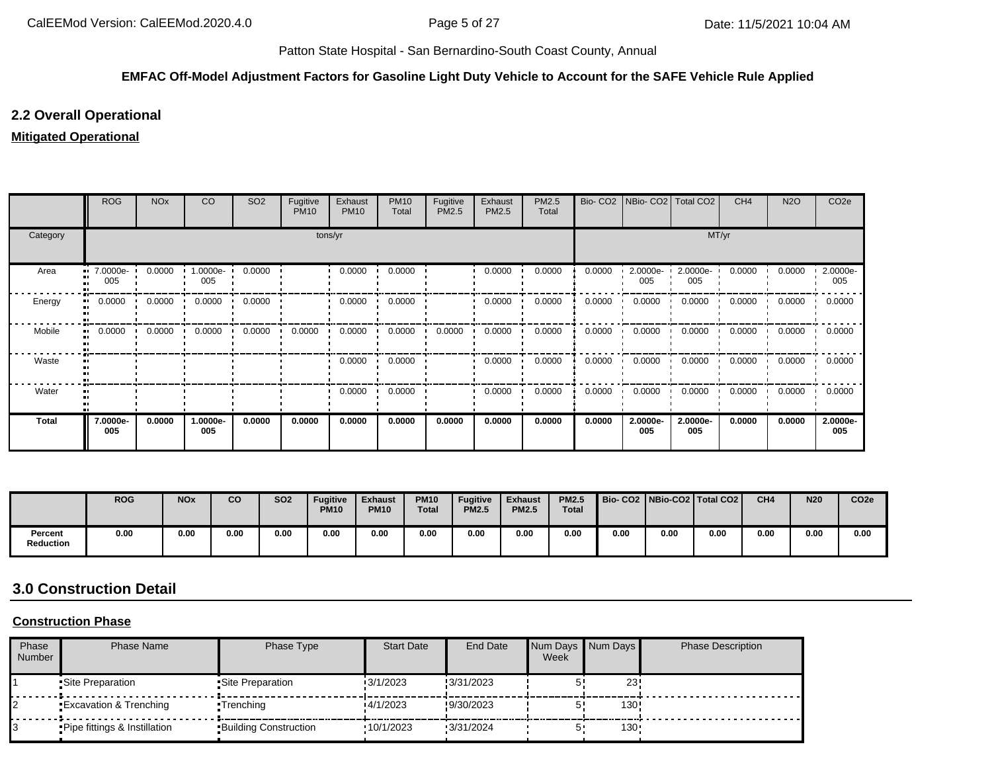#### **EMFAC Off-Model Adjustment Factors for Gasoline Light Duty Vehicle to Account for the SAFE Vehicle Rule Applied**

## **2.2 Overall Operational**

### **Mitigated Operational**

|              | <b>ROG</b>      | <b>NO<sub>x</sub></b> | CO                | SO <sub>2</sub> | Fugitive<br><b>PM10</b> | Exhaust<br><b>PM10</b> | <b>PM10</b><br>Total | Fugitive<br>PM2.5 | Exhaust<br>PM2.5 | PM2.5<br>Total |        | Bio- CO2   NBio- CO2   Total CO2 |                 | CH <sub>4</sub> | <b>N2O</b> | CO <sub>2e</sub> |
|--------------|-----------------|-----------------------|-------------------|-----------------|-------------------------|------------------------|----------------------|-------------------|------------------|----------------|--------|----------------------------------|-----------------|-----------------|------------|------------------|
| Category     |                 |                       |                   |                 |                         | tons/yr                |                      |                   |                  |                |        |                                  | MT/yr           |                 |            |                  |
| Area<br>п.   | 7.0000e-<br>005 | 0.0000                | $1.0000e-$<br>005 | 0.0000          |                         | 0.0000                 | 0.0000               |                   | 0.0000           | 0.0000         | 0.0000 | 2.0000e-<br>005                  | 2.0000e-<br>005 | 0.0000          | 0.0000     | 2.0000e-<br>005  |
| Energy       | 0.0000          | 0.0000                | 0.0000            | 0.0000          |                         | 0.0000                 | 0.0000               |                   | 0.0000           | 0.0000         | 0.0000 | 0.0000                           | 0.0000          | 0.0000          | 0.0000     | 0.0000           |
| Mobile<br>п. | 0.0000          | 0.0000                | 0.0000            | 0.0000          | 0.0000                  | 0.0000                 | 0.0000               | 0.0000            | 0.0000           | 0.0000         | 0.0000 | 0.0000                           | 0.0000          | 0.0000          | 0.0000     | 0.0000           |
| Waste        |                 |                       |                   |                 |                         | 0.0000                 | 0.0000               |                   | 0.0000           | 0.0000         | 0.0000 | 0.0000                           | 0.0000          | 0.0000          | 0.0000     | 0.0000           |
| Water        |                 |                       |                   |                 |                         | 0.0000<br>. .          | 0.0000               |                   | 0.0000           | 0.0000         | 0.0000 | 0.0000                           | 0.0000          | 0.0000          | 0.0000     | 0.0000           |
| <b>Total</b> | 7.0000e-<br>005 | 0.0000                | 1.0000e-<br>005   | 0.0000          | 0.0000                  | 0.0000                 | 0.0000               | 0.0000            | 0.0000           | 0.0000         | 0.0000 | 2.0000e-<br>005                  | 2.0000e-<br>005 | 0.0000          | 0.0000     | 2.0000e-<br>005  |

|                             | <b>ROG</b> | <b>NO<sub>x</sub></b> | <b>CO</b> | <b>SO2</b> | <b>Fugitive</b><br><b>PM10</b> | <b>Exhaust</b><br><b>PM10</b> | <b>PM10</b><br><b>Total</b> | <b>Fugitive</b><br><b>PM2.5</b> | <b>Exhaust</b><br><b>PM2.5</b> | <b>PM2.5</b><br><b>Total</b> |      |      | Bio- CO2   NBio-CO2   Total CO2 | CH <sub>4</sub> | N <sub>20</sub> | CO <sub>2e</sub> |
|-----------------------------|------------|-----------------------|-----------|------------|--------------------------------|-------------------------------|-----------------------------|---------------------------------|--------------------------------|------------------------------|------|------|---------------------------------|-----------------|-----------------|------------------|
| Percent<br><b>Reduction</b> | 0.00       | 0.00                  | 0.00      | 0.00       | 0.00                           | 0.00                          | 0.00                        | 0.00                            | 0.00                           | 0.00                         | 0.00 | 0.00 | 0.00                            | 0.00            | 0.00            | 0.00             |

# **3.0 Construction Detail**

## **Construction Phase**

| Phase<br>Number | Phase Name                        | Phase Type                   | <b>Start Date</b> | End Date  | Week | Num Days Num Days | <b>Phase Description</b> |
|-----------------|-----------------------------------|------------------------------|-------------------|-----------|------|-------------------|--------------------------|
|                 | •Site Preparation                 | •Site Preparation            | 3/1/2023          | 3/31/2023 |      | 23                |                          |
|                 | <b>Excavation &amp; Trenching</b> | •Trenchina                   | 4/1/2023          | 9/30/2023 |      | 130.              |                          |
|                 | Pipe fittings & Instillation      | <b>Building Construction</b> | 10/1/2023         | 3/31/2024 |      | $130 -$           |                          |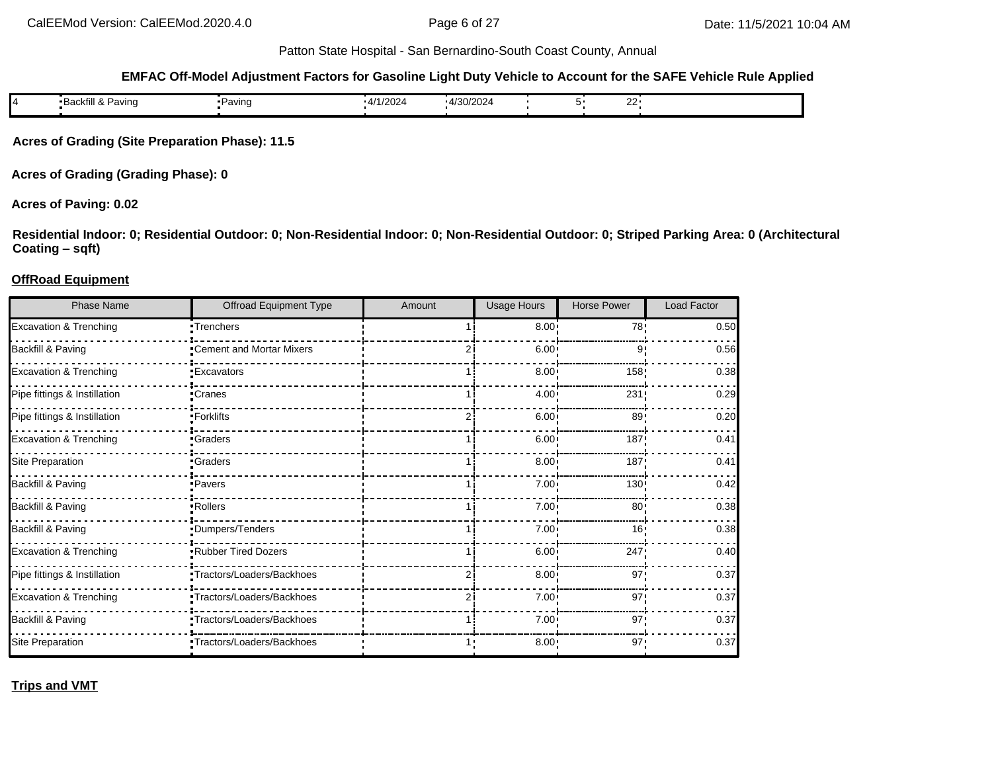#### **EMFAC Off-Model Adjustment Factors for Gasoline Light Duty Vehicle to Account for the SAFE Vehicle Rule Applied**

|  | ୴ | <br>Pavinα<br>·Backfil⊾<br>6¥. | ∙Pavınɑ | $\sim$ $\sim$<br>ı <i>лі</i><br>72027 | 4/30/2024<br>. . |  | $\sim$<br>--- |  |
|--|---|--------------------------------|---------|---------------------------------------|------------------|--|---------------|--|
|--|---|--------------------------------|---------|---------------------------------------|------------------|--|---------------|--|

**Acres of Grading (Site Preparation Phase): 11.5**

**Acres of Grading (Grading Phase): 0**

### **Acres of Paving: 0.02**

**Residential Indoor: 0; Residential Outdoor: 0; Non-Residential Indoor: 0; Non-Residential Outdoor: 0; Striped Parking Area: 0 (Architectural Coating – sqft)**

#### **OffRoad Equipment**

| <b>Phase Name</b>                 | Offroad Equipment Type    | Amount | Usage Hours  | <b>Horse Power</b> | <b>Load Factor</b> |
|-----------------------------------|---------------------------|--------|--------------|--------------------|--------------------|
| Excavation & Trenching            | -Trenchers                |        | $8.00$ !     | 78!                | 0.50               |
| Backfill & Paving                 | Cement and Mortar Mixers  |        | 6.00:        | 9                  | 0.56               |
| <b>Excavation &amp; Trenching</b> | <b>Excavators</b>         |        | $8.00$ !     | 158                | 0.38               |
| Pipe fittings & Instillation      | •Cranes                   |        | 4.00         | 231                | 0.29               |
| Pipe fittings & Instillation      | Forklifts                 |        | 6.00         | 89                 | 0.20               |
| <b>Excavation &amp; Trenching</b> | <b>Craders</b>            |        | 6.00:        | 187                | 0.41               |
| Site Preparation                  | •Graders                  |        | 8.00         | 187'               | 0.41               |
| Backfill & Paving                 | -Pavers                   |        | $7.00 \cdot$ | 130 <sub>1</sub>   | 0.42               |
| Backfill & Paving                 | Rollers <sup>-</sup>      |        | 7.00:        | 80 <sub>1</sub>    | 0.38               |
| Backfill & Paving                 | Dumpers/Tenders           |        | 7.00:        | 16'                | 0.38               |
| <b>Excavation &amp; Trenching</b> | Rubber Tired Dozers       |        | $6.00 \cdot$ | 247                | 0.40               |
| Pipe fittings & Instillation      | Tractors/Loaders/Backhoes |        | 8.00         | 97'                | 0.37               |
| Excavation & Trenching            | Tractors/Loaders/Backhoes |        | 7.00:        | 97'                | 0.37               |
| Backfill & Paving                 | Tractors/Loaders/Backhoes |        | $7.00 \cdot$ | 97'                | 0.37               |
| Site Preparation                  | Tractors/Loaders/Backhoes |        | 8.00:        | 97'                | 0.37               |

**Trips and VMT**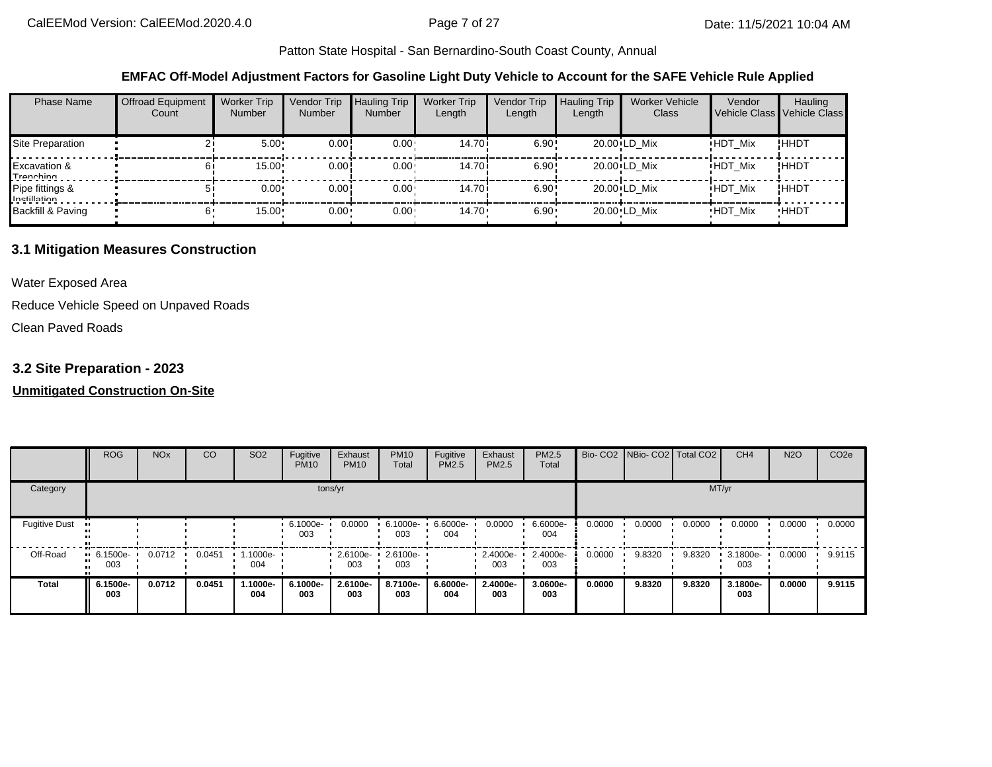#### **EMFAC Off-Model Adjustment Factors for Gasoline Light Duty Vehicle to Account for the SAFE Vehicle Rule Applied**

| <b>Phase Name</b>                    | <b>Offroad Equipment</b><br>Count | <b>Worker Trip</b><br><b>Number</b> | Vendor Trip<br>Number | <b>Hauling Trip</b><br><b>Number</b> | <b>Worker Trip</b><br>Length | Vendor Trip<br>Length | <b>Hauling Trip</b><br>Length | <b>Worker Vehicle</b><br>Class | Vendor<br>Vehicle Class Vehicle Class | Hauling     |
|--------------------------------------|-----------------------------------|-------------------------------------|-----------------------|--------------------------------------|------------------------------|-----------------------|-------------------------------|--------------------------------|---------------------------------------|-------------|
| <b>Site Preparation</b>              |                                   | 5.00                                | 0.00!                 | $0.00 \cdot$                         | 14.70i                       | 6.90!                 |                               | 20.00 LD Mix                   | <b>HDT Mix</b>                        | !ННDТ       |
| <b>Excavation &amp;</b><br>Tranching |                                   | 15.00                               | 0.00!                 | $0.00 \cdot$                         | 14.70i                       | 6.90!                 |                               | 20.00 LD Mix                   | <b>HDT Mix</b>                        | !ННDТ       |
| Pipe fittings &<br>Inetillation      |                                   | $0.00 \cdot$                        | 0.00!                 | $0.00 \cdot$                         | 14.70i                       | 6.90!                 |                               | 20.00 LD Mix                   | <b>HDT Mix</b>                        | !HHDT       |
| Backfill & Paving                    |                                   | 15.00                               | 0.00                  | $0.00 \cdot$                         | $14.70 \cdot$                | $6.90 -$              |                               | 20.00 LD Mix                   | <b>HDT Mix</b>                        | <b>HHDT</b> |

### **3.1 Mitigation Measures Construction**

Water Exposed Area

Reduce Vehicle Speed on Unpaved Roads

Clean Paved Roads

## **3.2 Site Preparation - 2023**

#### **Unmitigated Construction On-Site**

|                      | <b>ROG</b>         | <b>NO<sub>x</sub></b> | CO     | SO <sub>2</sub> | Fugitive<br><b>PM10</b> | Exhaust<br><b>PM10</b> | <b>PM10</b><br>Total | Fugitive<br>PM2.5 | Exhaust<br>PM2.5 | PM2.5<br>Total  |        | Bio- CO2   NBio- CO2   Total CO2 |        | CH <sub>4</sub> | <b>N2O</b> | CO <sub>2e</sub> |
|----------------------|--------------------|-----------------------|--------|-----------------|-------------------------|------------------------|----------------------|-------------------|------------------|-----------------|--------|----------------------------------|--------|-----------------|------------|------------------|
| Category             |                    |                       |        |                 |                         | tons/yr                |                      |                   |                  |                 |        |                                  | MT/yr  |                 |            |                  |
| <b>Fugitive Dust</b> |                    |                       |        |                 | 6.1000e-<br>003         | 0.0000                 | 6.1000e-<br>003      | 6.6000e-<br>004   | 0.0000           | 6.6000e-<br>004 | 0.0000 | 0.0000                           | 0.0000 | 0.0000          | 0.0000     | 0.0000           |
| Off-Road             | $-6.1500e-$<br>003 | 0.0712                | 0.0451 | 1.1000e-<br>004 |                         | 2.6100e-<br>003        | 2.6100e-<br>003      |                   | 2.4000e-<br>003  | 2.4000e-<br>003 | 0.0000 | 9.8320                           | 9.8320 | 3.1800e-<br>003 | 0.0000     | 9.9115           |
| <b>Total</b>         | 6.1500e-<br>003    | 0.0712                | 0.0451 | 1.1000e-<br>004 | 6.1000e-<br>003         | 2.6100e-<br>003        | 8.7100e-<br>003      | 6.6000e-<br>004   | 2.4000e-<br>003  | 3.0600e-<br>003 | 0.0000 | 9.8320                           | 9.8320 | 3.1800e-<br>003 | 0.0000     | 9.9115           |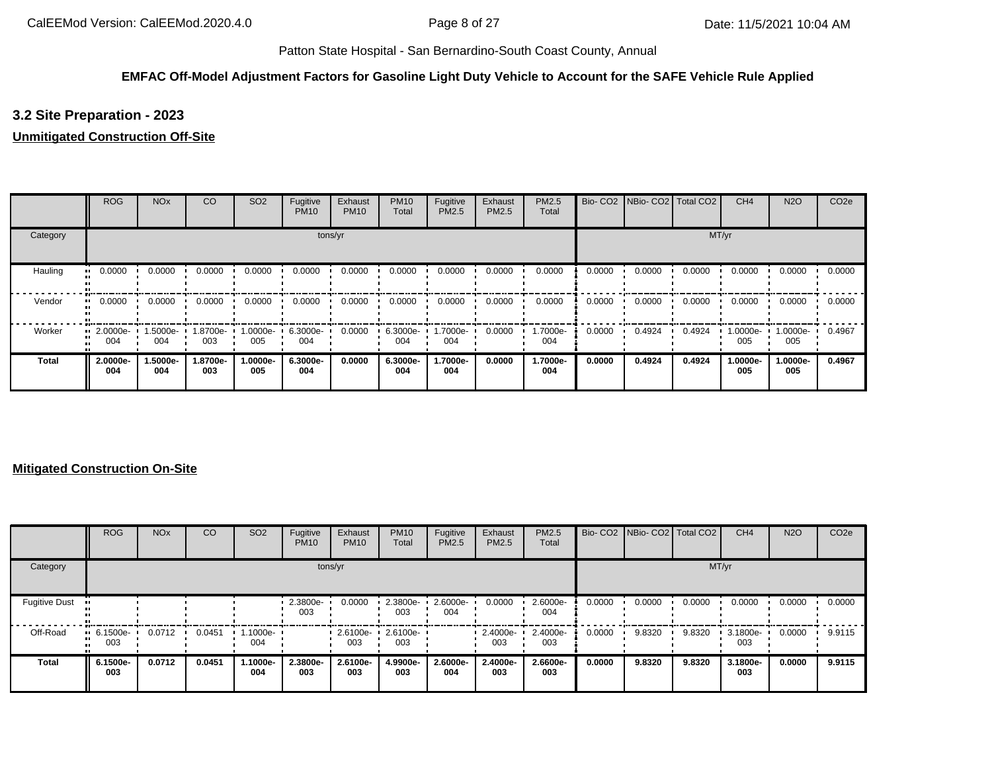### **EMFAC Off-Model Adjustment Factors for Gasoline Light Duty Vehicle to Account for the SAFE Vehicle Rule Applied**

# **3.2 Site Preparation - 2023**

### **Unmitigated Construction Off-Site**

|          | <b>ROG</b>              | <b>NO<sub>x</sub></b> | CO              | SO <sub>2</sub> | Fugitive<br><b>PM10</b> | Exhaust<br><b>PM10</b> | <b>PM10</b><br>Total | Fugitive<br>PM2.5 | Exhaust<br>PM2.5 | <b>PM2.5</b><br>Total | Bio-CO <sub>2</sub> | NBio-CO2 Total CO2 |        | CH <sub>4</sub> | <b>N2O</b>      | CO <sub>2e</sub> |
|----------|-------------------------|-----------------------|-----------------|-----------------|-------------------------|------------------------|----------------------|-------------------|------------------|-----------------------|---------------------|--------------------|--------|-----------------|-----------------|------------------|
| Category |                         |                       |                 |                 |                         | tons/yr                |                      |                   |                  |                       |                     |                    | MT/yr  |                 |                 |                  |
| Hauling  | 0.0000<br>              | 0.0000                | 0.0000          | 0.0000          | 0.0000                  | 0.0000                 | 0.0000               | 0.0000            | 0.0000           | 0.0000                | 0.0000              | 0.0000             | 0.0000 | 0.0000          | 0.0000          | 0.0000           |
| Vendor   | 0.0000<br>              | 0.0000                | 0.0000          | 0.0000          | 0.0000                  | 0.0000                 | 0.0000               | 0.0000            | 0.0000           | 0.0000                | 0.0000              | 0.0000             | 0.0000 | 0.0000          | 0.0000          | 0.0000           |
| Worker   | $\cdot$ 2.0000e-<br>004 | 1.5000e-<br>004       | -8700e-<br>003  | 1.0000e-<br>005 | 6.3000e-<br>004         | 0.0000                 | 6.3000e-<br>004      | .7000e-<br>004    | 0.0000           | 1.7000e-<br>004       | 0.0000              | 0.4924             | 0.4924 | 1.0000e-<br>005 | 1.0000e-<br>005 | 0.4967           |
| Total    | 2.0000e-<br>004         | 1.5000e-<br>004       | 1.8700e-<br>003 | 1.0000e-<br>005 | 6.3000e-<br>004         | 0.0000                 | 6.3000e-<br>004      | 1.7000e-<br>004   | 0.0000           | 1.7000e-<br>004       | 0.0000              | 0.4924             | 0.4924 | 1.0000e-<br>005 | 1.0000e-<br>005 | 0.4967           |

### **Mitigated Construction On-Site**

|                      | <b>ROG</b>                         | <b>NO<sub>x</sub></b> | CO     | SO <sub>2</sub> | Fugitive<br><b>PM10</b> | Exhaust<br><b>PM10</b> | <b>PM10</b><br>Total | Fugitive<br>PM2.5 | Exhaust<br>PM2.5 | <b>PM2.5</b><br>Total |        | Bio- CO2   NBio- CO2   Total CO2 |        | CH <sub>4</sub> | <b>N2O</b> | CO <sub>2e</sub> |
|----------------------|------------------------------------|-----------------------|--------|-----------------|-------------------------|------------------------|----------------------|-------------------|------------------|-----------------------|--------|----------------------------------|--------|-----------------|------------|------------------|
| Category             |                                    |                       |        |                 |                         | tons/yr                |                      |                   |                  |                       |        |                                  | MT/yr  |                 |            |                  |
| <b>Fugitive Dust</b> |                                    |                       |        |                 | 2.3800e-<br>003         | 0.0000                 | 2.3800e-<br>003      | 2.6000e-<br>004   | 0.0000           | 2.6000e-<br>004       | 0.0000 | 0.0000                           | 0.0000 | 0.0000          | 0.0000     | 0.0000           |
| Off-Road             | $\blacksquare$ 6.1500e-<br><br>003 | 0.0712                | 0.0451 | 1.1000e-<br>004 |                         | 2.6100e-<br>003        | 2.6100e-<br>003      |                   | 2.4000e-<br>003  | 2.4000e-<br>003       | 0.0000 | 9.8320                           | 9.8320 | 3.1800e-<br>003 | 0.0000     | 9.9115           |
| <b>Total</b>         | 6.1500e-<br>003                    | 0.0712                | 0.0451 | 1.1000e-<br>004 | 2.3800e-<br>003         | 2.6100e-<br>003        | 4.9900e-<br>003      | 2.6000e-<br>004   | 2.4000e-<br>003  | 2.6600e-<br>003       | 0.0000 | 9.8320                           | 9.8320 | 3.1800e-<br>003 | 0.0000     | 9.9115           |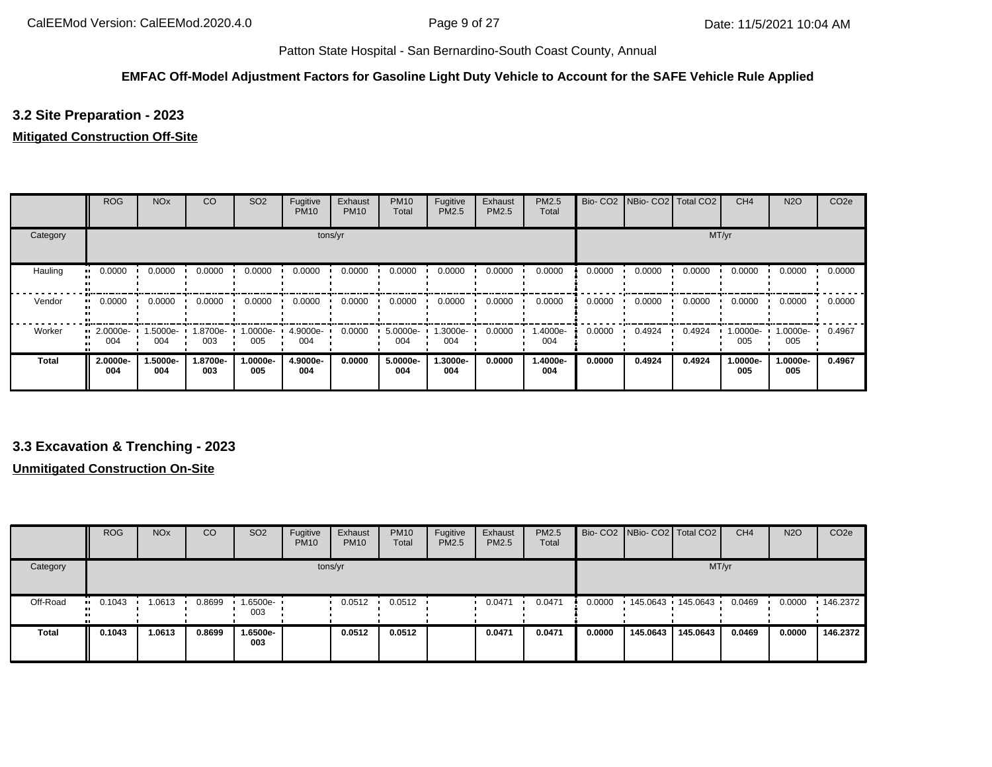### **EMFAC Off-Model Adjustment Factors for Gasoline Light Duty Vehicle to Account for the SAFE Vehicle Rule Applied**

# **3.2 Site Preparation - 2023**

### **Mitigated Construction Off-Site**

|              | <b>ROG</b>              | <b>NO<sub>x</sub></b> | CO              | SO <sub>2</sub> | Fugitive<br><b>PM10</b> | Exhaust<br><b>PM10</b> | <b>PM10</b><br>Total | Fugitive<br><b>PM2.5</b> | Exhaust<br>PM2.5 | <b>PM2.5</b><br>Total |        | Bio- CO2 NBio- CO2 Total CO2 |        | CH <sub>4</sub> | <b>N2O</b>      | CO <sub>2e</sub> |
|--------------|-------------------------|-----------------------|-----------------|-----------------|-------------------------|------------------------|----------------------|--------------------------|------------------|-----------------------|--------|------------------------------|--------|-----------------|-----------------|------------------|
| Category     |                         |                       |                 |                 |                         | tons/yr                |                      |                          |                  |                       |        |                              | MT/yr  |                 |                 |                  |
| Hauling      | 0.0000<br>              | 0.0000                | 0.0000          | 0.0000          | 0.0000                  | 0.0000                 | 0.0000               | 0.0000                   | 0.0000           | 0.0000                | 0.0000 | 0.0000                       | 0.0000 | 0.0000          | 0.0000          | 0.0000           |
| Vendor       | 0.0000<br>ш.            | 0.0000                | 0.0000          | 0.0000          | 0.0000                  | 0.0000                 | 0.0000               | 0.0000                   | 0.0000           | 0.0000                | 0.0000 | 0.0000                       | 0.0000 | 0.0000          | 0.0000          | 0.0000           |
| Worker       | $\cdot$ 2.0000e-<br>004 | 1.5000e-<br>004       | -9700e-<br>003  | -.0000e<br>005  | 4.9000e-<br>004         | 0.0000                 | 5.0000e-<br>004      | 1.3000e-<br>004          | 0.0000           | 1.4000e-<br>004       | 0.0000 | 0.4924                       | 0.4924 | 1.0000e-<br>005 | 1.0000e-<br>005 | 0.4967           |
| <b>Total</b> | 2.0000e-<br>004         | 1.5000e-<br>004       | 1.8700e-<br>003 | -.0000e<br>005  | 4.9000e-<br>004         | 0.0000                 | 5.0000e-<br>004      | 1.3000e-<br>004          | 0.0000           | 1.4000e-<br>004       | 0.0000 | 0.4924                       | 0.4924 | 1.0000e-<br>005 | 1.0000e-<br>005 | 0.4967           |

## **3.3 Excavation & Trenching - 2023**

## **Unmitigated Construction On-Site**

|              | <b>ROG</b>            | <b>NO<sub>x</sub></b> | <sub>co</sub> | SO <sub>2</sub> | Fugitive<br><b>PM10</b> | Exhaust<br><b>PM10</b> | <b>PM10</b><br>Total | Fugitive<br>PM2.5 | Exhaust<br>PM2.5 | <b>PM2.5</b><br>Total |        | Bio- CO2   NBio- CO2   Total CO2 |          | CH <sub>4</sub> | <b>N2O</b> | CO <sub>2e</sub> |
|--------------|-----------------------|-----------------------|---------------|-----------------|-------------------------|------------------------|----------------------|-------------------|------------------|-----------------------|--------|----------------------------------|----------|-----------------|------------|------------------|
| Category     |                       |                       |               |                 | tons/yr                 |                        |                      |                   |                  |                       |        |                                  | MT/yr    |                 |            |                  |
| Off-Road     | $\blacksquare$ 0.1043 | 1.0613                | 0.8699        | 1.6500e-<br>003 |                         | 0.0512                 | 0.0512               |                   | 0.0471           | 0.0471                | 0.0000 | 145.0643  145.0643               |          | 0.0469          | 0.0000     | $\cdot$ 146.2372 |
| <b>Total</b> | 0.1043                | 1.0613                | 0.8699        | 1.6500e-<br>003 |                         | 0.0512                 | 0.0512               |                   | 0.0471           | 0.0471                | 0.0000 | 145.0643                         | 145.0643 | 0.0469          | 0.0000     | 146.2372         |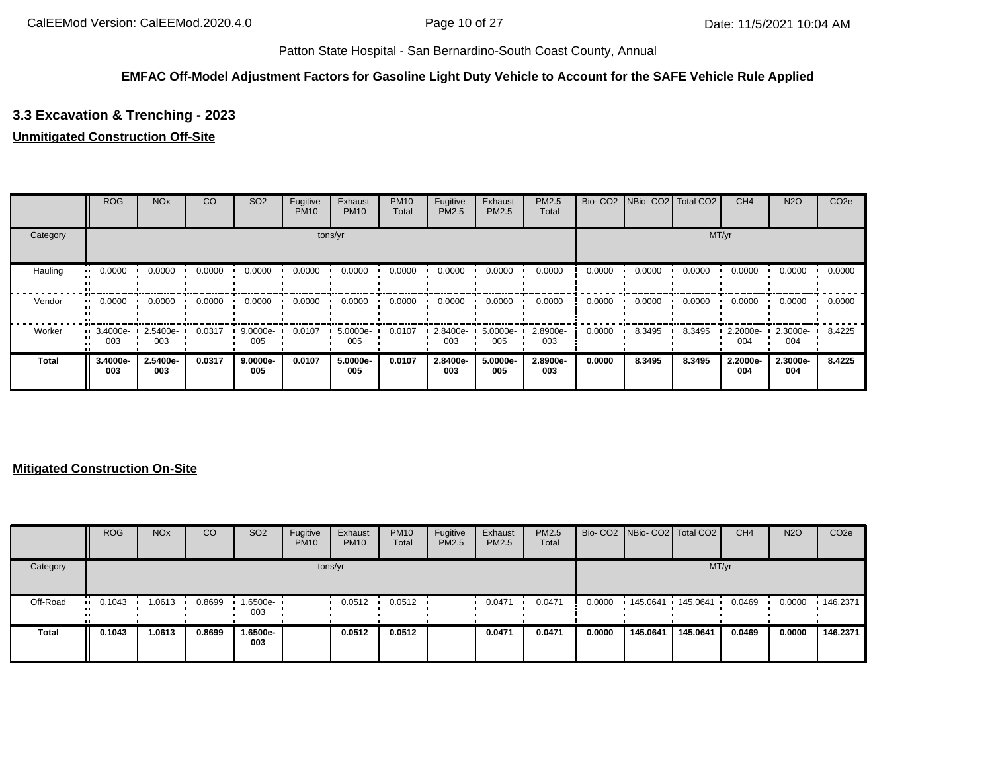#### **EMFAC Off-Model Adjustment Factors for Gasoline Light Duty Vehicle to Account for the SAFE Vehicle Rule Applied**

# **3.3 Excavation & Trenching - 2023**

### **Unmitigated Construction Off-Site**

|              | <b>ROG</b>                     | <b>NO<sub>x</sub></b> | CO     | SO <sub>2</sub> | Fugitive<br><b>PM10</b> | Exhaust<br><b>PM10</b> | <b>PM10</b><br>Total | Fugitive<br>PM2.5 | Exhaust<br><b>PM2.5</b> | PM2.5<br>Total  |        | Bio- CO2 NBio- CO2 Total CO2 |        | CH <sub>4</sub> | <b>N2O</b>      | CO <sub>2e</sub> |
|--------------|--------------------------------|-----------------------|--------|-----------------|-------------------------|------------------------|----------------------|-------------------|-------------------------|-----------------|--------|------------------------------|--------|-----------------|-----------------|------------------|
| Category     |                                |                       |        |                 |                         | tons/yr                |                      |                   |                         |                 |        |                              |        | MT/yr           |                 |                  |
| Hauling      | 0.0000                         | 0.0000                | 0.0000 | 0.0000          | 0.0000                  | 0.0000                 | 0.0000               | 0.0000            | 0.0000                  | 0.0000          | 0.0000 | 0.0000                       | 0.0000 | 0.0000          | 0.0000          | 0.0000           |
| Vendor       | 0.0000                         | 0.0000                | 0.0000 | 0.0000          | 0.0000                  | 0.0000                 | 0.0000               | 0.0000            | 0.0000                  | 0.0000          | 0.0000 | 0.0000                       | 0.0000 | 0.0000          | 0.0000          | 0.0000           |
| Worker       | $\blacksquare$ 3.4000e-<br>003 | 2.5400e-<br>003       | 0.0317 | 9.0000e-<br>005 | 0.0107                  | 5.0000e-<br>005        | 0.0107               | 2.8400e-<br>003   | 5.0000e-<br>005         | 2.8900e-<br>003 | 0.0000 | 8.3495                       | 8.3495 | 2.2000e-<br>004 | 2.3000e-<br>004 | 8.4225           |
| <b>Total</b> | 3.4000e-<br>003                | 2.5400e-<br>003       | 0.0317 | 9.0000e-<br>005 | 0.0107                  | 5.0000e-<br>005        | 0.0107               | 2.8400e-<br>003   | 5.0000e-<br>005         | 2.8900e-<br>003 | 0.0000 | 8.3495                       | 8.3495 | 2.2000e-<br>004 | 2.3000e-<br>004 | 8.4225           |

### **Mitigated Construction On-Site**

|              | <b>ROG</b> | <b>NO<sub>x</sub></b> | CO     | SO <sub>2</sub>   | Fugitive<br><b>PM10</b> | Exhaust<br><b>PM10</b> | <b>PM10</b><br>Total | Fugitive<br>PM2.5 | Exhaust<br><b>PM2.5</b> | <b>PM2.5</b><br>Total |        | Bio- CO2   NBio- CO2   Total CO2 |          | CH <sub>4</sub> | <b>N2O</b> | CO <sub>2e</sub> |
|--------------|------------|-----------------------|--------|-------------------|-------------------------|------------------------|----------------------|-------------------|-------------------------|-----------------------|--------|----------------------------------|----------|-----------------|------------|------------------|
| Category     |            |                       |        |                   |                         | tons/yr                |                      |                   |                         |                       |        |                                  |          | MT/yr           |            |                  |
| Off-Road     | 0.1043     | .0613                 | 0.8699 | 1.6500e- •<br>003 |                         | 0.0512                 | 0.0512               |                   | 0.0471                  | 0.0471                | 0.0000 | 145.0641                         | 145.0641 | 0.0469          | 0.0000     | 146.2371         |
| <b>Total</b> | 0.1043     | .0613                 | 0.8699 | 1.6500e-<br>003   |                         | 0.0512                 | 0.0512               |                   | 0.0471                  | 0.0471                | 0.0000 | 145.0641                         | 145.0641 | 0.0469          | 0.0000     | 146.2371         |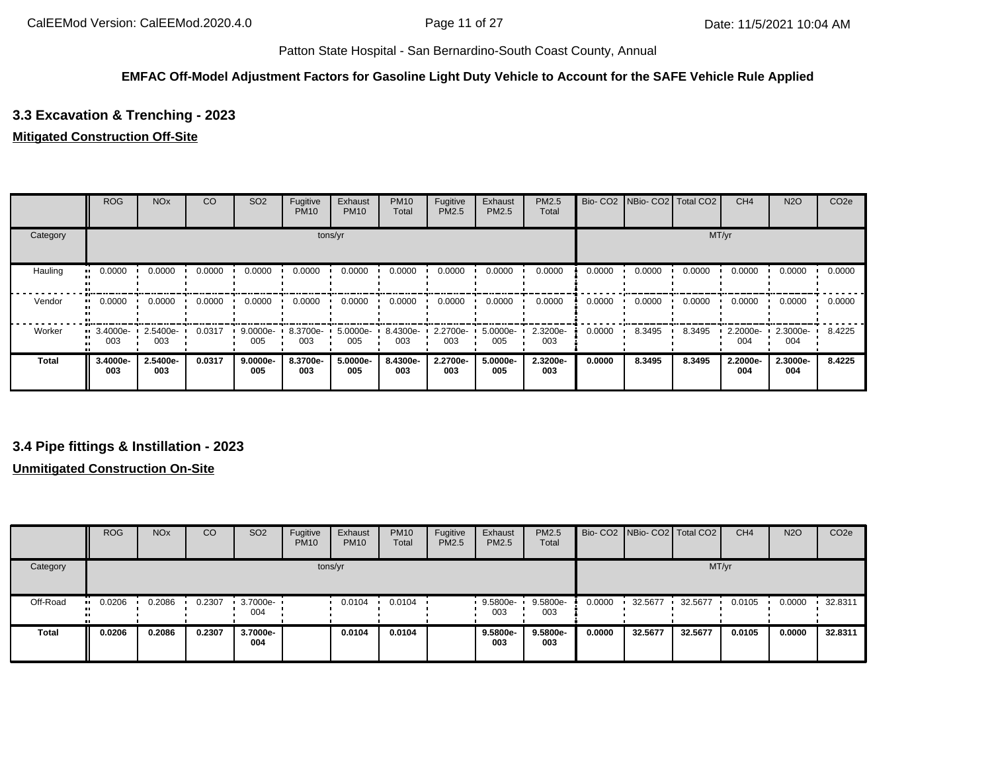### **EMFAC Off-Model Adjustment Factors for Gasoline Light Duty Vehicle to Account for the SAFE Vehicle Rule Applied**

# **3.3 Excavation & Trenching - 2023**

### **Mitigated Construction Off-Site**

|              | <b>ROG</b>                     | <b>NO<sub>x</sub></b> | CO     | SO <sub>2</sub> | Fugitive<br><b>PM10</b> | Exhaust<br><b>PM10</b> | <b>PM10</b><br>Total | Fugitive<br>PM2.5 | Exhaust<br>PM2.5 | PM2.5<br>Total  |        | Bio- CO2 NBio- CO2 Total CO2 |        | CH <sub>4</sub> | <b>N2O</b>      | CO <sub>2e</sub> |
|--------------|--------------------------------|-----------------------|--------|-----------------|-------------------------|------------------------|----------------------|-------------------|------------------|-----------------|--------|------------------------------|--------|-----------------|-----------------|------------------|
| Category     |                                |                       |        |                 |                         | tons/yr                |                      |                   |                  |                 |        |                              |        | MT/yr           |                 |                  |
| Hauling      | 0.0000                         | 0.0000                | 0.0000 | 0.0000          | 0.0000                  | 0.0000                 | 0.0000               | 0.0000            | 0.0000           | 0.0000          | 0.0000 | 0.0000                       | 0.0000 | 0.0000          | 0.0000          | 0.0000           |
| Vendor       | 0.0000<br>                     | 0.0000                | 0.0000 | 0.0000          | 0.0000                  | 0.0000                 | 0.0000               | 0.0000            | 0.0000           | 0.0000          | 0.0000 | 0.0000                       | 0.0000 | 0.0000          | 0.0000          | 0.0000           |
| Worker       | $\blacksquare$ 3.4000e-<br>003 | 2.5400e-<br>003       | 0.0317 | 9.0000e-<br>005 | 8.3700e-<br>003         | 5.0000e-<br>005        | 8.4300e-<br>003      | 2.2700e-<br>003   | 5.0000e-<br>005  | 2.3200e-<br>003 | 0.0000 | 8.3495                       | 8.3495 | 2.2000e-<br>004 | 2.3000e-<br>004 | 8.4225           |
| <b>Total</b> | 3.4000e-<br>003                | 2.5400e-<br>003       | 0.0317 | 9.0000e-<br>005 | 8.3700e-<br>003         | 5.0000e-<br>005        | 8.4300e-<br>003      | 2.2700e-<br>003   | 5.0000e-<br>005  | 2.3200e-<br>003 | 0.0000 | 8.3495                       | 8.3495 | 2.2000e-<br>004 | 2.3000e-<br>004 | 8.4225           |

## **3.4 Pipe fittings & Instillation - 2023**

### **Unmitigated Construction On-Site**

|              | <b>ROG</b> | <b>NO<sub>x</sub></b> | CO     | SO <sub>2</sub>   | Fugitive<br><b>PM10</b> | Exhaust<br><b>PM10</b> | <b>PM10</b><br>Total | Fugitive<br>PM2.5 | Exhaust<br><b>PM2.5</b> | <b>PM2.5</b><br>Total |        | Bio- CO2   NBio- CO2   Total CO2 |         | CH <sub>4</sub> | <b>N2O</b> | CO <sub>2e</sub> |
|--------------|------------|-----------------------|--------|-------------------|-------------------------|------------------------|----------------------|-------------------|-------------------------|-----------------------|--------|----------------------------------|---------|-----------------|------------|------------------|
| Category     |            |                       |        |                   |                         | tons/yr                |                      |                   |                         |                       |        |                                  | MT/yr   |                 |            |                  |
| Off-Road     | 0.0206<br> | 0.2086                | 0.2307 | 3.7000e- •<br>004 |                         | 0.0104                 | 0.0104               |                   | 9.5800e-<br>003         | 9.5800e-<br>003       | 0.0000 | 32.5677                          | 32.5677 | 0.0105          | 0.0000     | 32.8311          |
| <b>Total</b> | 0.0206     | 0.2086                | 0.2307 | 3.7000e-<br>004   |                         | 0.0104                 | 0.0104               |                   | 9.5800e-<br>003         | 9.5800e-<br>003       | 0.0000 | 32.5677                          | 32.5677 | 0.0105          | 0.0000     | 32.8311          |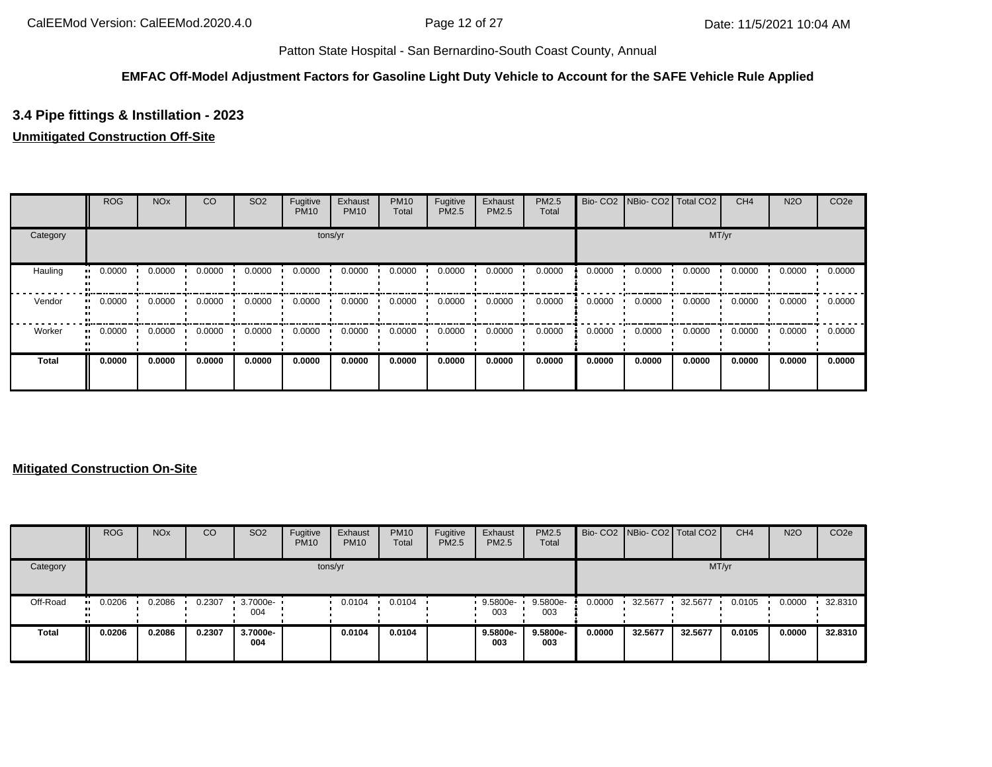### **EMFAC Off-Model Adjustment Factors for Gasoline Light Duty Vehicle to Account for the SAFE Vehicle Rule Applied**

# **3.4 Pipe fittings & Instillation - 2023**

## **Unmitigated Construction Off-Site**

|              | <b>ROG</b> | <b>NO<sub>x</sub></b> | CO     | SO <sub>2</sub> | Fugitive<br><b>PM10</b> | Exhaust<br><b>PM10</b> | <b>PM10</b><br>Total | Fugitive<br><b>PM2.5</b> | Exhaust<br>PM2.5 | <b>PM2.5</b><br>Total |        | Bio- CO2   NBio- CO2   Total CO2 |        | CH <sub>4</sub> | <b>N2O</b> | CO <sub>2e</sub> |
|--------------|------------|-----------------------|--------|-----------------|-------------------------|------------------------|----------------------|--------------------------|------------------|-----------------------|--------|----------------------------------|--------|-----------------|------------|------------------|
| Category     |            |                       |        |                 |                         | tons/yr                |                      |                          |                  |                       |        |                                  | MT/yr  |                 |            |                  |
| Hauling      | 0.0000     | 0.0000                | 0.0000 | 0.0000          | 0.0000                  | 0.0000                 | 0.0000               | 0.0000                   | 0.0000           | 0.0000                | 0.0000 | 0.0000                           | 0.0000 | 0.0000          | 0.0000     | 0.0000           |
| Vendor       | 0.0000     | 0.0000                | 0.0000 | 0.0000          | 0.0000                  | 0.0000                 | 0.0000               | 0.0000                   | 0.0000           | 0.0000                | 0.0000 | 0.0000                           | 0.0000 | 0.0000          | 0.0000     | 0.0000           |
| Worker       | 0.0000     | 0.0000                | 0.0000 | 0.0000          | 0.0000                  | 0.0000                 | 0.0000               | 0.0000                   | 0.0000           | 0.0000                | 0.0000 | 0.0000                           | 0.0000 | 0.0000          | 0.0000     | 0.0000           |
| <b>Total</b> | 0.0000     | 0.0000                | 0.0000 | 0.0000          | 0.0000                  | 0.0000                 | 0.0000               | 0.0000                   | 0.0000           | 0.0000                | 0.0000 | 0.0000                           | 0.0000 | 0.0000          | 0.0000     | 0.0000           |

### **Mitigated Construction On-Site**

|              | <b>ROG</b> | <b>NO<sub>x</sub></b> | CO     | SO <sub>2</sub> | Fugitive<br><b>PM10</b> | Exhaust<br><b>PM10</b> | <b>PM10</b><br>Total | Fugitive<br>PM2.5 | Exhaust<br><b>PM2.5</b> | PM2.5<br>Total  |        | Bio- CO2   NBio- CO2   Total CO2 |         | CH <sub>4</sub> | <b>N2O</b> | CO <sub>2e</sub> |
|--------------|------------|-----------------------|--------|-----------------|-------------------------|------------------------|----------------------|-------------------|-------------------------|-----------------|--------|----------------------------------|---------|-----------------|------------|------------------|
| Category     |            |                       |        |                 |                         | tons/yr                |                      |                   |                         |                 |        |                                  |         | MT/yr           |            |                  |
| Off-Road     | 0.0206     | 0.2086                | 0.2307 | 3.7000e-<br>004 |                         | 0.0104                 | 0.0104               |                   | 9.5800e-<br>003         | 9.5800e-<br>003 | 0.0000 | 32.5677                          | 32.5677 | 0.0105          | 0.0000     | 32.8310          |
| <b>Total</b> | 0.0206     | 0.2086                | 0.2307 | 3.7000e-<br>004 |                         | 0.0104                 | 0.0104               |                   | 9.5800e-<br>003         | 9.5800e-<br>003 | 0.0000 | 32.5677                          | 32.5677 | 0.0105          | 0.0000     | 32.8310          |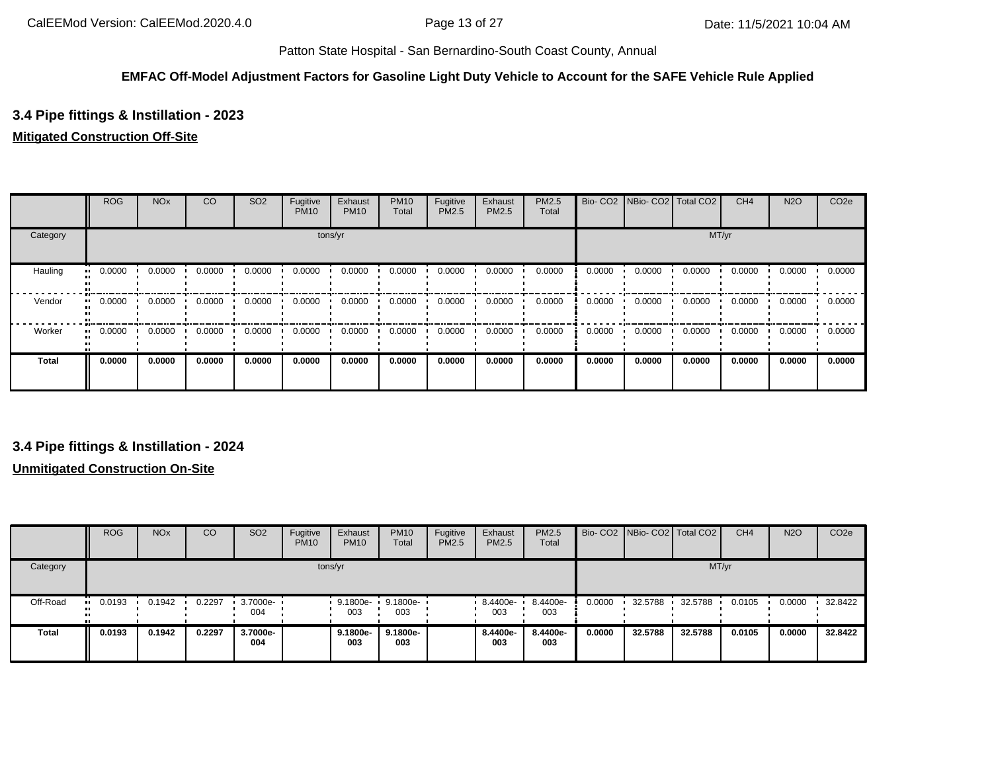### **EMFAC Off-Model Adjustment Factors for Gasoline Light Duty Vehicle to Account for the SAFE Vehicle Rule Applied**

# **3.4 Pipe fittings & Instillation - 2023**

### **Mitigated Construction Off-Site**

|              | <b>ROG</b> | <b>NO<sub>x</sub></b> | CO     | SO <sub>2</sub> | Fugitive<br><b>PM10</b> | Exhaust<br><b>PM10</b> | <b>PM10</b><br>Total | Fugitive<br>PM2.5 | Exhaust<br>PM2.5 | <b>PM2.5</b><br>Total | Bio-CO <sub>2</sub> | NBio-CO2 Total CO2 |        | CH <sub>4</sub> | <b>N2O</b> | CO <sub>2e</sub> |
|--------------|------------|-----------------------|--------|-----------------|-------------------------|------------------------|----------------------|-------------------|------------------|-----------------------|---------------------|--------------------|--------|-----------------|------------|------------------|
| Category     |            |                       |        |                 |                         | tons/yr                |                      |                   |                  |                       |                     |                    |        | MT/yr           |            |                  |
| Hauling      | 0.0000     | 0.0000                | 0.0000 | 0.0000          | 0.0000                  | 0.0000                 | 0.0000               | 0.0000            | 0.0000           | 0.0000                | 0.0000              | 0.0000             | 0.0000 | 0.0000          | 0.0000     | 0.0000           |
| Vendor       | 0.0000     | 0.0000                | 0.0000 | 0.0000          | 0.0000                  | 0.0000                 | 0.0000               | 0.0000            | 0.0000           | 0.0000                | 0.0000              | 0.0000             | 0.0000 | 0.0000          | 0.0000     | 0.0000           |
| Worker       | 0.0000     | 0.0000                | 0.0000 | 0.0000          | 0.0000                  | 0.0000                 | 0.0000               | 0.0000            | 0.0000           | 0.0000                | 0.0000              | 0.0000             | 0.0000 | 0.0000          | 0.0000     | 0.0000           |
| <b>Total</b> | 0.0000     | 0.0000                | 0.0000 | 0.0000          | 0.0000                  | 0.0000                 | 0.0000               | 0.0000            | 0.0000           | 0.0000                | 0.0000              | 0.0000             | 0.0000 | 0.0000          | 0.0000     | 0.0000           |

## **3.4 Pipe fittings & Instillation - 2024**

### **Unmitigated Construction On-Site**

|              | <b>ROG</b> | <b>NO<sub>x</sub></b> | CO     | SO <sub>2</sub>     | Fugitive<br><b>PM10</b> | Exhaust<br><b>PM10</b> | <b>PM10</b><br>Total | Fugitive<br>PM2.5 | Exhaust<br>PM2.5 | <b>PM2.5</b><br>Total |        | Bio- CO2   NBio- CO2   Total CO2 |         | CH <sub>4</sub> | <b>N2O</b> | CO <sub>2e</sub> |
|--------------|------------|-----------------------|--------|---------------------|-------------------------|------------------------|----------------------|-------------------|------------------|-----------------------|--------|----------------------------------|---------|-----------------|------------|------------------|
| Category     |            |                       |        |                     |                         | tons/yr                |                      |                   |                  |                       |        |                                  | MT/yr   |                 |            |                  |
| Off-Road     | 0.0193<br> | 0.1942                | 0.2297 | $-3.7000e -$<br>004 |                         | 9.1800e-<br>003        | 9.1800e-<br>003      |                   | 8.4400e-<br>003  | 8.4400e-<br>003       | 0.0000 | 32.5788                          | 32.5788 | 0.0105          | 0.0000     | 32.8422          |
| <b>Total</b> | 0.0193     | 0.1942                | 0.2297 | 3.7000e-<br>004     |                         | 9.1800e-<br>003        | 9.1800e-<br>003      |                   | 8.4400e-<br>003  | 8.4400e-<br>003       | 0.0000 | 32.5788                          | 32.5788 | 0.0105          | 0.0000     | 32.8422          |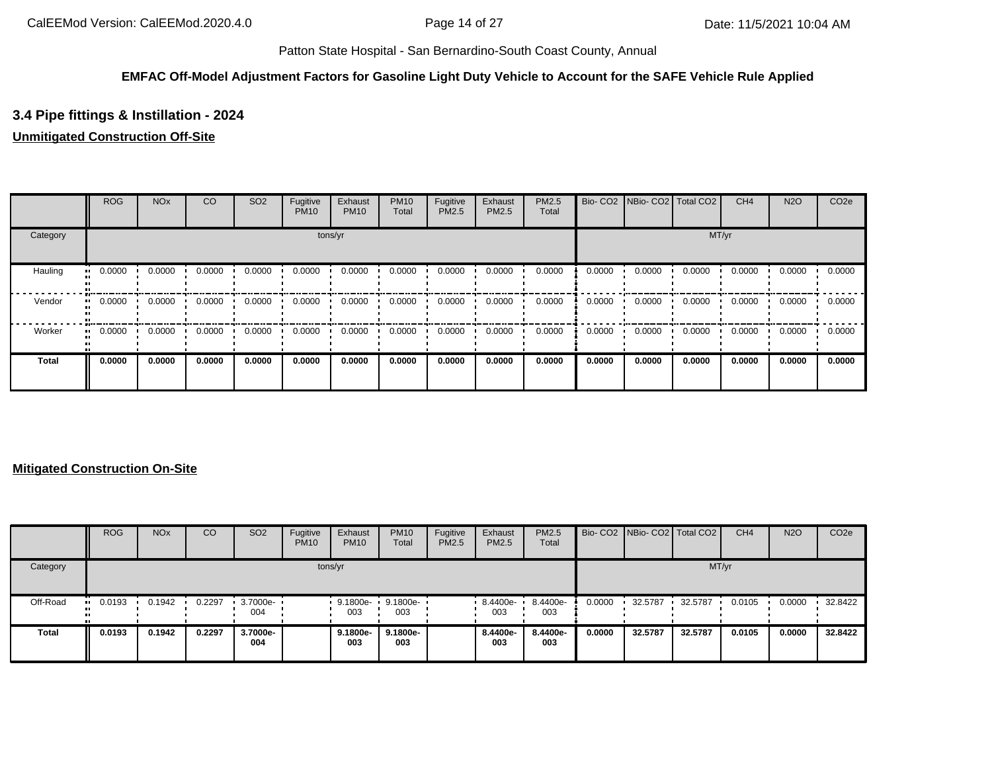### **EMFAC Off-Model Adjustment Factors for Gasoline Light Duty Vehicle to Account for the SAFE Vehicle Rule Applied**

# **3.4 Pipe fittings & Instillation - 2024**

## **Unmitigated Construction Off-Site**

|              | <b>ROG</b>   | <b>NO<sub>x</sub></b> | CO     | SO <sub>2</sub> | Fugitive<br><b>PM10</b> | Exhaust<br><b>PM10</b> | <b>PM10</b><br>Total | Fugitive<br>PM2.5 | Exhaust<br>PM2.5 | PM2.5<br>Total |        | Bio- CO2 NBio- CO2 Total CO2 |        | CH <sub>4</sub> | <b>N2O</b> | CO <sub>2e</sub> |
|--------------|--------------|-----------------------|--------|-----------------|-------------------------|------------------------|----------------------|-------------------|------------------|----------------|--------|------------------------------|--------|-----------------|------------|------------------|
| Category     |              |                       |        |                 |                         | tons/yr                |                      |                   |                  |                |        |                              |        | MT/yr           |            |                  |
| Hauling      | 0.0000<br>ш. | 0.0000                | 0.0000 | 0.0000          | 0.0000                  | 0.0000                 | 0.0000               | 0.0000            | 0.0000           | 0.0000         | 0.0000 | 0.0000                       | 0.0000 | 0.0000          | 0.0000     | 0.0000           |
| Vendor       | 0.0000<br>ш. | 0.0000                | 0.0000 | 0.0000          | 0.0000                  | 0.0000                 | 0.0000               | 0.0000            | 0.0000           | 0.0000         | 0.0000 | 0.0000                       | 0.0000 | 0.0000          | 0.0000     | 0.0000           |
| Worker       | 0.0000<br>   | 0.0000                | 0.0000 | 0.0000          | 0.0000                  | 0.0000                 | 0.0000               | 0.0000            | 0.0000           | 0.0000         | 0.0000 | 0.0000                       | 0.0000 | 0.0000          | 0.0000     | 0.0000           |
| <b>Total</b> | 0.0000       | 0.0000                | 0.0000 | 0.0000          | 0.0000                  | 0.0000                 | 0.0000               | 0.0000            | 0.0000           | 0.0000         | 0.0000 | 0.0000                       | 0.0000 | 0.0000          | 0.0000     | 0.0000           |

### **Mitigated Construction On-Site**

|              | <b>ROG</b> | <b>NO<sub>x</sub></b> | CO     | SO <sub>2</sub> | Fugitive<br><b>PM10</b> | Exhaust<br><b>PM10</b> | <b>PM10</b><br>Total | Fugitive<br>PM2.5 | Exhaust<br><b>PM2.5</b> | PM2.5<br>Total  |        | Bio- CO2 NBio- CO2 Total CO2 |         | CH <sub>4</sub> | <b>N2O</b> | CO <sub>2e</sub> |
|--------------|------------|-----------------------|--------|-----------------|-------------------------|------------------------|----------------------|-------------------|-------------------------|-----------------|--------|------------------------------|---------|-----------------|------------|------------------|
| Category     |            |                       |        |                 |                         | tons/yr                |                      |                   |                         |                 |        |                              | MT/yr   |                 |            |                  |
| Off-Road     | 0.0193     | 0.1942                | 0.2297 | 3.7000e-<br>004 |                         | 9.1800e-<br>003        | 9.1800e-<br>003      |                   | 8.4400e-<br>003         | 8.4400e-<br>003 | 0.0000 | 32.5787                      | 32.5787 | 0.0105          | 0.0000     | 32.8422          |
| <b>Total</b> | 0.0193     | 0.1942                | 0.2297 | 3.7000e-<br>004 |                         | 9.1800e-<br>003        | 9.1800e-<br>003      |                   | 8.4400e-<br>003         | 8.4400e-<br>003 | 0.0000 | 32.5787                      | 32.5787 | 0.0105          | 0.0000     | 32.8422          |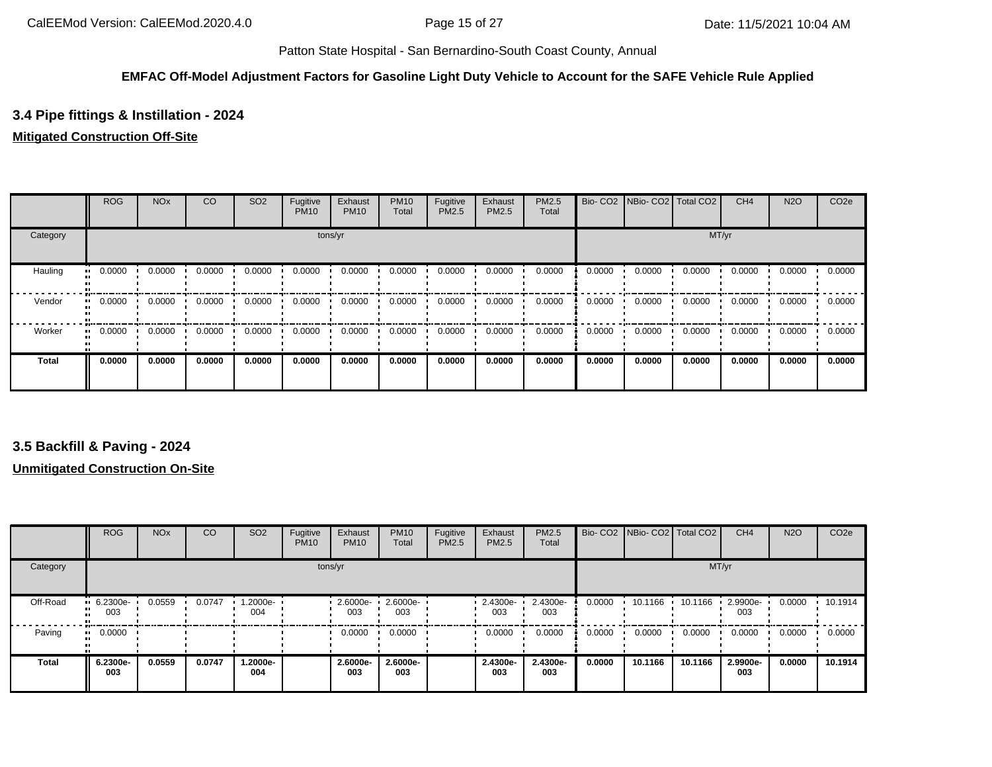### **EMFAC Off-Model Adjustment Factors for Gasoline Light Duty Vehicle to Account for the SAFE Vehicle Rule Applied**

# **3.4 Pipe fittings & Instillation - 2024**

### **Mitigated Construction Off-Site**

|              | <b>ROG</b> | <b>NO<sub>x</sub></b> | CO     | SO <sub>2</sub> | Fugitive<br><b>PM10</b> | Exhaust<br><b>PM10</b> | <b>PM10</b><br>Total | Fugitive<br>PM2.5 | Exhaust<br>PM2.5 | <b>PM2.5</b><br>Total | Bio-CO <sub>2</sub> | NBio-CO2 Total CO2 |        | CH <sub>4</sub> | <b>N2O</b> | CO <sub>2e</sub> |
|--------------|------------|-----------------------|--------|-----------------|-------------------------|------------------------|----------------------|-------------------|------------------|-----------------------|---------------------|--------------------|--------|-----------------|------------|------------------|
| Category     |            |                       |        |                 |                         | tons/yr                |                      |                   |                  |                       |                     |                    |        | MT/yr           |            |                  |
| Hauling      | 0.0000     | 0.0000                | 0.0000 | 0.0000          | 0.0000                  | 0.0000                 | 0.0000               | 0.0000            | 0.0000           | 0.0000                | 0.0000              | 0.0000             | 0.0000 | 0.0000          | 0.0000     | 0.0000           |
| Vendor       | 0.0000     | 0.0000                | 0.0000 | 0.0000          | 0.0000                  | 0.0000                 | 0.0000               | 0.0000            | 0.0000           | 0.0000                | 0.0000              | 0.0000             | 0.0000 | 0.0000          | 0.0000     | 0.0000           |
| Worker       | 0.0000     | 0.0000                | 0.0000 | 0.0000          | 0.0000                  | 0.0000                 | 0.0000               | 0.0000            | 0.0000           | 0.0000                | 0.0000              | 0.0000             | 0.0000 | 0.0000          | 0.0000     | 0.0000           |
| <b>Total</b> | 0.0000     | 0.0000                | 0.0000 | 0.0000          | 0.0000                  | 0.0000                 | 0.0000               | 0.0000            | 0.0000           | 0.0000                | 0.0000              | 0.0000             | 0.0000 | 0.0000          | 0.0000     | 0.0000           |

## **3.5 Backfill & Paving - 2024**

#### **Unmitigated Construction On-Site**

|              | <b>ROG</b>                     | <b>NO<sub>x</sub></b> | CO     | SO <sub>2</sub> | Fugitive<br><b>PM10</b> | Exhaust<br><b>PM10</b> | <b>PM10</b><br>Total | Fugitive<br>PM2.5 | Exhaust<br>PM2.5 | PM2.5<br>Total  |        | Bio- CO2 NBio- CO2 Total CO2 |         | CH <sub>4</sub> | <b>N2O</b> | CO <sub>2e</sub> |
|--------------|--------------------------------|-----------------------|--------|-----------------|-------------------------|------------------------|----------------------|-------------------|------------------|-----------------|--------|------------------------------|---------|-----------------|------------|------------------|
| Category     |                                |                       |        |                 | tons/yr                 |                        |                      |                   |                  |                 |        |                              | MT/yr   |                 |            |                  |
| Off-Road     | $\blacksquare$ 6.2300e-<br>003 | 0.0559                | 0.0747 | 1.2000e-<br>004 |                         | 2.6000e-<br>003        | 2.6000e-<br>003      |                   | 2.4300e-<br>003  | 2.4300e-<br>003 | 0.0000 | 10.1166                      | 10.1166 | 2.9900e-<br>003 | 0.0000     | 10.1914          |
| Paving       | 0.0000<br>                     |                       |        |                 |                         | 0.0000                 | 0.0000               |                   | 0.0000           | 0.0000          | 0.0000 | 0.0000                       | 0.0000  | 0.0000          | 0.0000     | 0.0000           |
| <b>Total</b> | 6.2300e-<br>003                | 0.0559                | 0.0747 | -2000e.<br>004  |                         | 2.6000e-<br>003        | 2.6000e-<br>003      |                   | 2.4300e-<br>003  | 2.4300e-<br>003 | 0.0000 | 10.1166                      | 10.1166 | 2.9900e-<br>003 | 0.0000     | 10.1914          |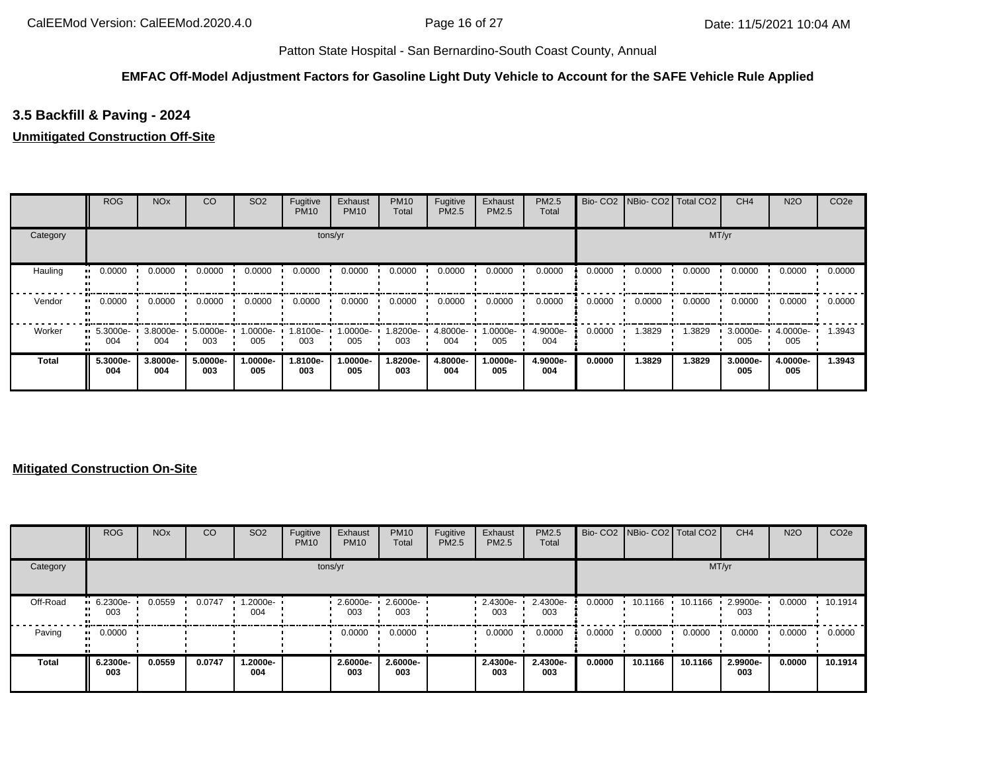#### **EMFAC Off-Model Adjustment Factors for Gasoline Light Duty Vehicle to Account for the SAFE Vehicle Rule Applied**

# **3.5 Backfill & Paving - 2024**

### **Unmitigated Construction Off-Site**

|          | <b>ROG</b>                     | <b>NO<sub>x</sub></b> | CO              | SO <sub>2</sub> | Fugitive<br><b>PM10</b> | Exhaust<br><b>PM10</b> | <b>PM10</b><br>Total | Fugitive<br>PM2.5 | Exhaust<br>PM2.5 | <b>PM2.5</b><br>Total | Bio-CO <sub>2</sub> | NBio-CO2 Total CO2 |        | CH <sub>4</sub> | <b>N2O</b>      | CO <sub>2e</sub> |
|----------|--------------------------------|-----------------------|-----------------|-----------------|-------------------------|------------------------|----------------------|-------------------|------------------|-----------------------|---------------------|--------------------|--------|-----------------|-----------------|------------------|
| Category |                                |                       |                 |                 |                         | tons/yr                |                      |                   |                  |                       |                     |                    | MT/yr  |                 |                 |                  |
| Hauling  | 0.0000<br>                     | 0.0000                | 0.0000          | 0.0000          | 0.0000                  | 0.0000                 | 0.0000               | 0.0000            | 0.0000           | 0.0000                | 0.0000              | 0.0000             | 0.0000 | 0.0000          | 0.0000          | 0.0000           |
| Vendor   | 0.0000<br>                     | 0.0000                | 0.0000          | 0.0000          | 0.0000                  | 0.0000                 | 0.0000               | 0.0000            | 0.0000           | 0.0000                | 0.0000              | 0.0000             | 0.0000 | 0.0000          | 0.0000          | 0.0000           |
| Worker   | $\blacksquare$ 5.3000e-<br>004 | 3.8000e-<br>004       | 5.0000e-<br>003 | 1.0000e-<br>005 | 1.8100e-<br>003         | 1.0000e-<br>005        | 1.8200e-<br>003      | 4.8000e-<br>004   | 1.0000e-<br>005  | 4.9000e-<br>004       | 0.0000              | 1.3829             | 1.3829 | 3.0000e-<br>005 | 4.0000e-<br>005 | 1.3943           |
| Total    | 5.3000e-<br>004                | 3.8000e-<br>004       | 5.0000e-<br>003 | 1.0000e-<br>005 | 1.8100e-<br>003         | 1.0000e-<br>005        | 1.8200e-<br>003      | 4.8000e-<br>004   | 1.0000e-<br>005  | 4.9000e-<br>004       | 0.0000              | 1.3829             | 1.3829 | 3.0000e-<br>005 | 4.0000e-<br>005 | 1.3943           |

### **Mitigated Construction On-Site**

|              | <b>ROG</b>                     | <b>NO<sub>x</sub></b> | CO     | SO <sub>2</sub> | Fugitive<br><b>PM10</b> | Exhaust<br><b>PM10</b> | <b>PM10</b><br>Total | Fugitive<br>PM2.5 | Exhaust<br>PM2.5 | <b>PM2.5</b><br>Total |        | Bio- CO2   NBio- CO2   Total CO2 |         | CH <sub>4</sub> | <b>N2O</b> | CO <sub>2e</sub> |
|--------------|--------------------------------|-----------------------|--------|-----------------|-------------------------|------------------------|----------------------|-------------------|------------------|-----------------------|--------|----------------------------------|---------|-----------------|------------|------------------|
| Category     |                                |                       |        |                 | tons/yr                 |                        |                      |                   |                  |                       |        |                                  | MT/yr   |                 |            |                  |
| Off-Road     | $\blacksquare$ 6.2300e-<br>003 | 0.0559                | 0.0747 | .2000e-<br>004  |                         | 2.6000e-<br>003        | 2.6000e-<br>003      |                   | 2.4300e-<br>003  | 2.4300e-<br>003       | 0.0000 | 10.1166                          | 10.1166 | 2.9900e-<br>003 | 0.0000     | 10.1914          |
| Paving       | 0.0000                         |                       |        |                 |                         | 0.0000                 | 0.0000               |                   | 0.0000           | 0.0000                | 0.0000 | 0.0000                           | 0.0000  | 0.0000          | 0.0000     | 0.0000           |
| <b>Total</b> | 6.2300e-<br>003                | 0.0559                | 0.0747 | -.2000e<br>004  |                         | 2.6000e-<br>003        | 2.6000e-<br>003      |                   | 2.4300e-<br>003  | 2.4300e-<br>003       | 0.0000 | 10.1166                          | 10.1166 | 2.9900e-<br>003 | 0.0000     | 10.1914          |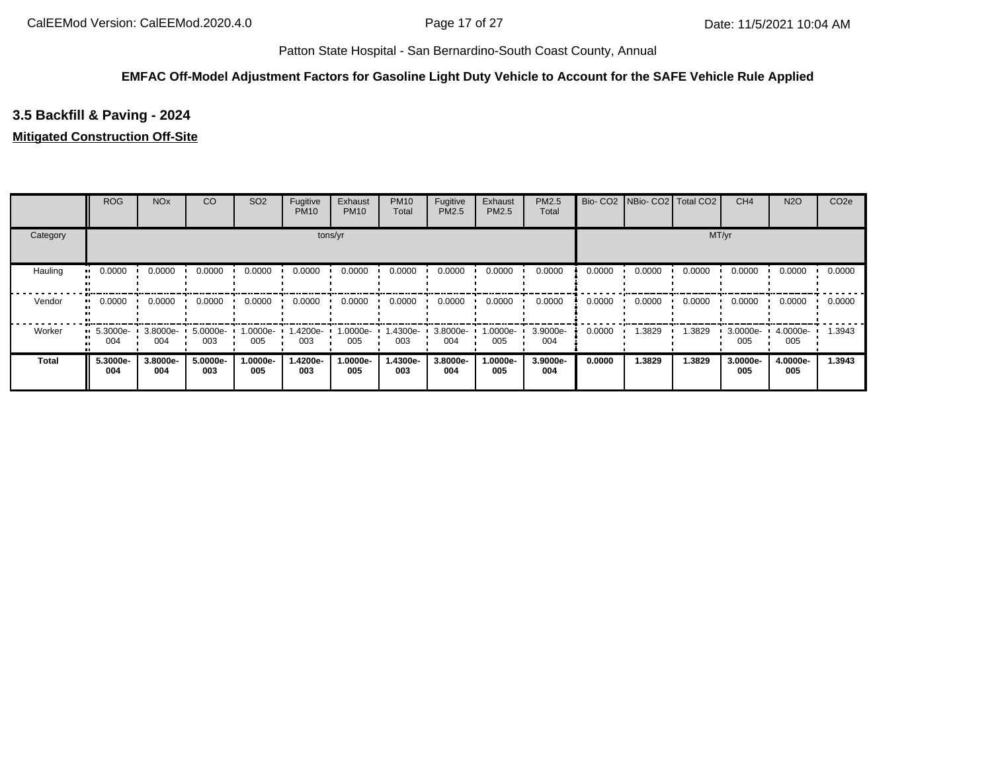### **EMFAC Off-Model Adjustment Factors for Gasoline Light Duty Vehicle to Account for the SAFE Vehicle Rule Applied**

# **3.5 Backfill & Paving - 2024**

### **Mitigated Construction Off-Site**

|          | <b>ROG</b>                     | <b>NO<sub>x</sub></b> | CO              | SO <sub>2</sub>  | Fugitive<br><b>PM10</b> | Exhaust<br><b>PM10</b> | <b>PM10</b><br>Total | Fugitive<br>PM2.5 | Exhaust<br><b>PM2.5</b> | PM2.5<br>Total  | Bio-CO <sub>2</sub> | NBio-CO2   Total CO2 |        | CH <sub>4</sub> | <b>N2O</b>      | CO <sub>2e</sub> |
|----------|--------------------------------|-----------------------|-----------------|------------------|-------------------------|------------------------|----------------------|-------------------|-------------------------|-----------------|---------------------|----------------------|--------|-----------------|-----------------|------------------|
| Category |                                |                       |                 |                  |                         | tons/yr                |                      |                   |                         |                 |                     |                      |        | MT/yr           |                 |                  |
| Hauling  | 0.0000<br>                     | 0.0000                | 0.0000          | 0.0000           | 0.0000                  | 0.0000                 | 0.0000               | 0.0000            | 0.0000                  | 0.0000          | 0.0000              | 0.0000               | 0.0000 | 0.0000          | 0.0000          | 0.0000           |
| Vendor   | 0.0000<br>                     | 0.0000                | 0.0000          | 0.0000           | 0.0000                  | 0.0000                 | 0.0000               | 0.0000            | 0.0000                  | 0.0000          | 0.0000              | 0.0000               | 0.0000 | 0.0000          | 0.0000          | 0.0000           |
| Worker   | $\blacksquare$ 5.3000e-<br>004 | 3.8000e-<br>004       | 5.0000e-<br>003 | --0000e-1<br>005 | 1.4200e-<br>003         | 1.0000e-<br>005        | .4300e-<br>003       | 3.8000e-<br>004   | 1.0000e-<br>005         | 3.9000e-<br>004 | 0.0000              | 1.3829               | 1.3829 | 3.0000e-<br>005 | 4.0000e-<br>005 | 1.3943           |
| Total    | 5.3000e-<br>004                | 3.8000e-<br>004       | 5.0000e-<br>003 | 1.0000e-<br>005  | 1.4200e-<br>003         | 1.0000e-<br>005        | 1.4300e-<br>003      | 3.8000e-<br>004   | 1.0000e-<br>005         | 3.9000e-<br>004 | 0.0000              | 1.3829               | 1.3829 | 3.0000e-<br>005 | 4.0000e-<br>005 | 1.3943           |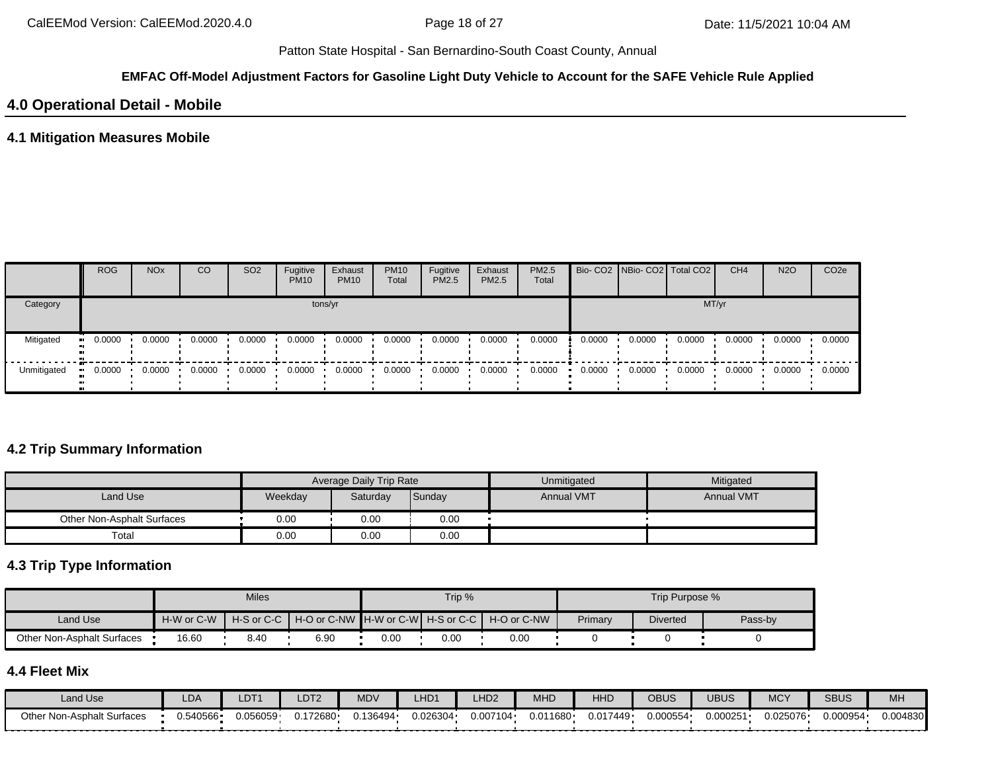### **EMFAC Off-Model Adjustment Factors for Gasoline Light Duty Vehicle to Account for the SAFE Vehicle Rule Applied**

# **4.0 Operational Detail - Mobile**

### **4.1 Mitigation Measures Mobile**

|             | <b>ROG</b> | <b>NO<sub>x</sub></b>   | CO     | SO <sub>2</sub> | Fugitive<br><b>PM10</b> | Exhaust<br><b>PM10</b> | <b>PM10</b><br>Total | Fugitive<br>PM2.5 | Exhaust<br><b>PM2.5</b> | <b>PM2.5</b><br>Total |        | Bio- CO2 NBio- CO2 Total CO2 |        | CH <sub>4</sub> | <b>N2O</b> | CO <sub>2e</sub> |
|-------------|------------|-------------------------|--------|-----------------|-------------------------|------------------------|----------------------|-------------------|-------------------------|-----------------------|--------|------------------------------|--------|-----------------|------------|------------------|
| Category    |            |                         |        |                 |                         | tons/yr                |                      |                   |                         |                       |        |                              |        | MT/yr           |            |                  |
| Mitigated   | 0.0000     | 0.0000                  | 0.0000 | 0.0000          | 0.0000                  | 0.0000                 | 0.0000               | 0.0000            | 0.0000                  | 0.0000                | 0.0000 | 0.0000                       | 0.0000 | 0.0000          | 0.0000     | 0.0000           |
| Unmitigated | 0.0000     | $0.0000$ $\blacksquare$ | 0.0000 | 0.0000          | 0.0000                  | 0.0000                 | 0.0000               | 0.0000            | 0.0000                  | 0.0000                | 0.0000 | 0.0000                       | 0.0000 | 0.0000          | 0.0000     | 0.0000           |

## **4.2 Trip Summary Information**

|                            |         | Average Daily Trip Rate |        | Unmitigated       | Mitigated         |
|----------------------------|---------|-------------------------|--------|-------------------|-------------------|
| Land Use                   | Weekday | Saturday                | Sunday | <b>Annual VMT</b> | <b>Annual VMT</b> |
| Other Non-Asphalt Surfaces | 0.00    | 0.00                    | 0.00   |                   |                   |
| Total                      | 0.00    | 0.00                    | 0.00   |                   |                   |

## **4.3 Trip Type Information**

|                            |            | <b>Miles</b> |                                                    |      | Trip % |                              |         | Trip Purpose %  |         |
|----------------------------|------------|--------------|----------------------------------------------------|------|--------|------------------------------|---------|-----------------|---------|
| Land Use                   | H-W or C-W |              | H-S or C-C   H-O or C-NW   H-W or C-W   H-S or C-C |      |        | $H-O$ or $C$ -NW $\parallel$ | Primary | <b>Diverted</b> | Pass-by |
| Other Non-Asphalt Surfaces | 16.60      | 8.40         | 6.90                                               | 0.00 | 0.00   | 0.00                         |         |                 |         |

# **4.4 Fleet Mix**

| Land Use                      | LDA      | LDT <sup>1</sup> | LDT2   | <b>MDV</b> | _HD1     | _HD <sub>2</sub> | <b>MHD</b> | HHD      | OBUS     | UBUS     | <b>MCY</b> | <b>SBUS</b> | MH       |
|-------------------------------|----------|------------------|--------|------------|----------|------------------|------------|----------|----------|----------|------------|-------------|----------|
| Non-Asphalt Surfaces<br>Other | 0.540566 | ا 056059.        | 172680 | 0.136494   | 0.026304 | 0.007104         | 0.011680   | 0.017449 | 0.000554 | 0.000251 | 0.025076   | 0.000954    | 0.004830 |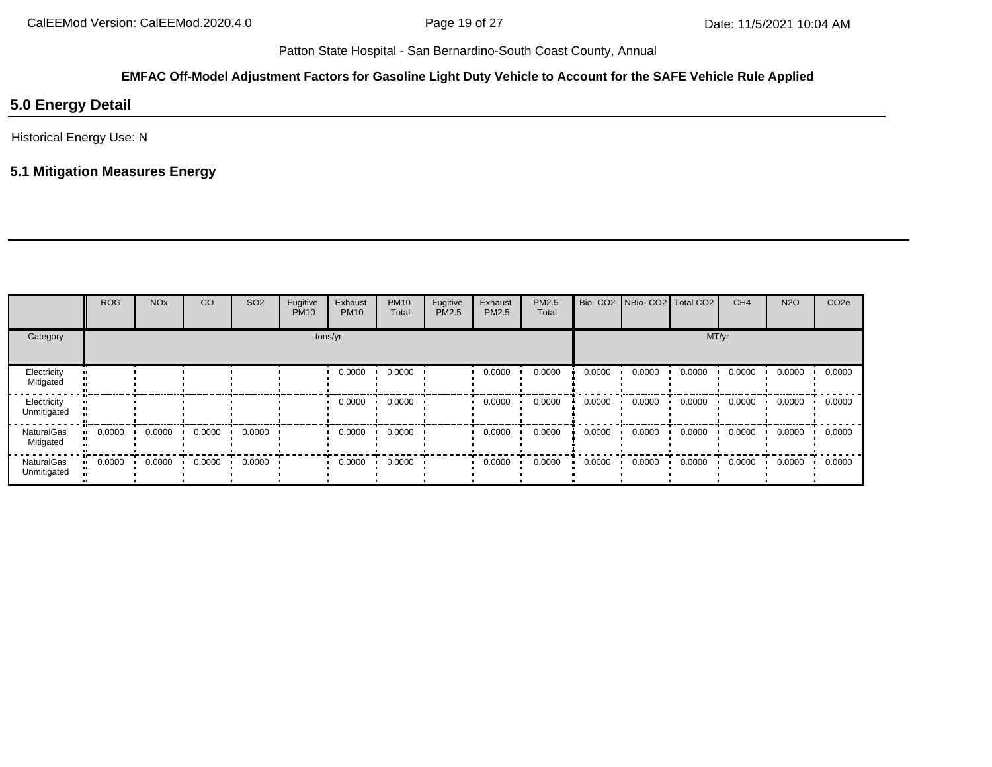### **EMFAC Off-Model Adjustment Factors for Gasoline Light Duty Vehicle to Account for the SAFE Vehicle Rule Applied**

# **5.0 Energy Detail**

Historical Energy Use: N

# **5.1 Mitigation Measures Energy**

|                            | <b>ROG</b> | <b>NO<sub>x</sub></b> | CO     | SO <sub>2</sub> | Fugitive<br><b>PM10</b> | Exhaust<br><b>PM10</b> | <b>PM10</b><br>Total | Fugitive<br>PM2.5 | Exhaust<br><b>PM2.5</b> | PM2.5<br>Total |        | Bio- CO2   NBio- CO2   Total CO2 |        | CH <sub>4</sub> | <b>N2O</b> | CO <sub>2e</sub> |
|----------------------------|------------|-----------------------|--------|-----------------|-------------------------|------------------------|----------------------|-------------------|-------------------------|----------------|--------|----------------------------------|--------|-----------------|------------|------------------|
| Category                   |            |                       |        |                 |                         | tons/yr                |                      |                   |                         |                |        |                                  | MT/yr  |                 |            |                  |
| Electricity<br>Mitigated   |            |                       |        |                 |                         | 0.0000                 | 0.0000               |                   | 0.0000                  | 0.0000         | 0.0000 | 0.0000                           | 0.0000 | 0.0000          | 0.0000     | 0.0000           |
| Electricity<br>Unmitigated |            |                       |        |                 |                         | 0.0000                 | 0.0000               |                   | 0.0000                  | 0.0000         | 0.0000 | 0.0000                           | 0.0000 | 0.0000          | 0.0000     | 0.0000           |
| NaturalGas<br>Mitigated    | 0.0000     | 0.0000                | 0.0000 | 0.0000          |                         | 0.0000                 | 0.0000               |                   | 0.0000                  | 0.0000         | 0.0000 | 0.0000                           | 0.0000 | 0.0000          | 0.0000     | 0.0000           |
| NaturalGas<br>Unmitigated  | 0.0000     | 0.0000                | 0.0000 | 0.0000          |                         | 0.0000                 | 0.0000               |                   | 0.0000                  | 0.0000         | 0.0000 | 0.0000                           | 0.0000 | 0.0000          | 0.0000     | 0.0000           |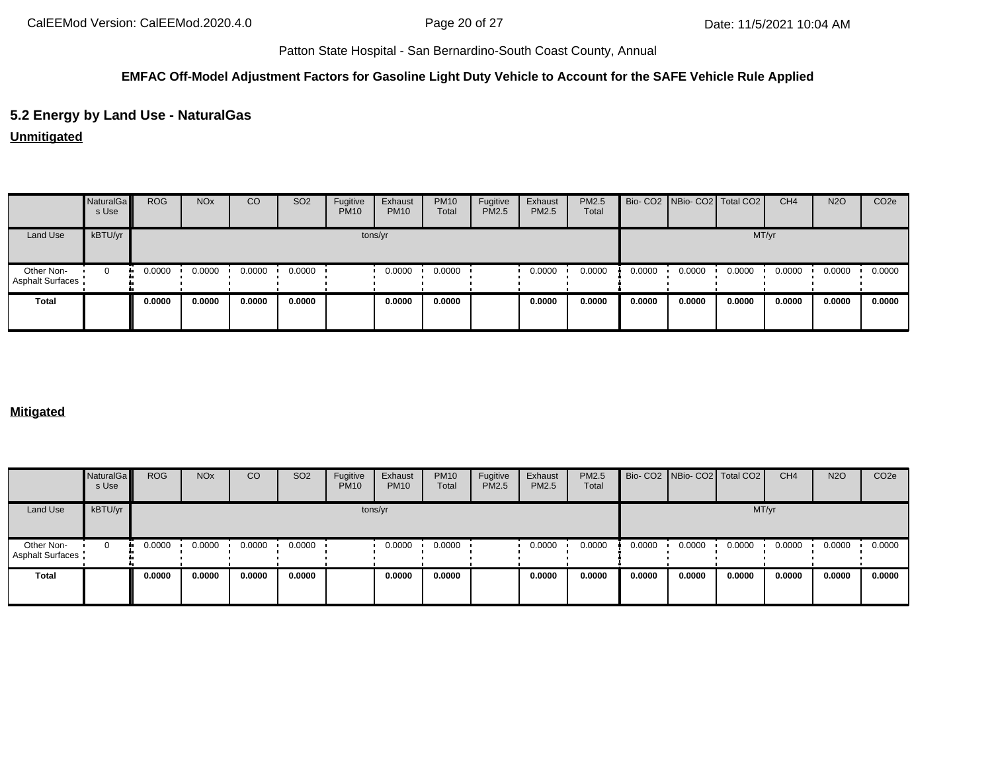### **EMFAC Off-Model Adjustment Factors for Gasoline Light Duty Vehicle to Account for the SAFE Vehicle Rule Applied**

## **5.2 Energy by Land Use - NaturalGas**

**Unmitigated**

|                                       | NaturalGa<br>s Use | <b>ROG</b> | <b>NO<sub>x</sub></b> | CO     | SO <sub>2</sub> | Fugitive<br><b>PM10</b> | Exhaust<br><b>PM10</b> | <b>PM10</b><br>Total | Fugitive<br><b>PM2.5</b> | Exhaust<br>PM2.5 | PM2.5<br>Total |        | Bio- CO2   NBio- CO2   Total CO2 |        | CH <sub>4</sub> | <b>N2O</b> | CO <sub>2e</sub> |
|---------------------------------------|--------------------|------------|-----------------------|--------|-----------------|-------------------------|------------------------|----------------------|--------------------------|------------------|----------------|--------|----------------------------------|--------|-----------------|------------|------------------|
| Land Use                              | kBTU/yr            |            |                       |        |                 |                         | tons/yr                |                      |                          |                  |                |        |                                  | MT/yr  |                 |            |                  |
| Other Non-<br><b>Asphalt Surfaces</b> | $\Omega$           | 0.0000     | 0.0000                | 0.0000 | 0.0000          |                         | 0.0000                 | 0.0000               |                          | 0.0000           | 0.0000         | 0.0000 | 0.0000                           | 0.0000 | 0.0000          | 0.0000     | 0.0000           |
| Total                                 |                    | 0.0000     | 0.0000                | 0.0000 | 0.0000          |                         | 0.0000                 | 0.0000               |                          | 0.0000           | 0.0000         | 0.0000 | 0.0000                           | 0.0000 | 0.0000          | 0.0000     | 0.0000           |

## **Mitigated**

|                                       | <b>NaturalGa</b><br>s Use | <b>ROG</b> | <b>NO<sub>x</sub></b> | CO     | SO <sub>2</sub> | Fugitive<br><b>PM10</b> | Exhaust<br><b>PM10</b> | <b>PM10</b><br>Total | Fugitive<br>PM2.5 | Exhaust<br>PM2.5 | PM2.5<br>Total |        | Bio- CO2 NBio- CO2 Total CO2 |        | CH <sub>4</sub> | <b>N2O</b> | CO <sub>2e</sub> |
|---------------------------------------|---------------------------|------------|-----------------------|--------|-----------------|-------------------------|------------------------|----------------------|-------------------|------------------|----------------|--------|------------------------------|--------|-----------------|------------|------------------|
| Land Use                              | kBTU/yr                   |            |                       |        |                 |                         | tons/yr                |                      |                   |                  |                |        |                              | MT/yr  |                 |            |                  |
| Other Non-<br><b>Asphalt Surfaces</b> |                           | 0.0000     | 0.0000                | 0.0000 | 0.0000          |                         | 0.0000                 | 0.0000               |                   | 0.0000           | 0.0000         | 0.0000 | 0.0000                       | 0.0000 | 0.0000          | 0.0000     | 0.0000           |
| <b>Total</b>                          |                           | 0.0000     | 0.0000                | 0.0000 | 0.0000          |                         | 0.0000                 | 0.0000               |                   | 0.0000           | 0.0000         | 0.0000 | 0.0000                       | 0.0000 | 0.0000          | 0.0000     | 0.0000           |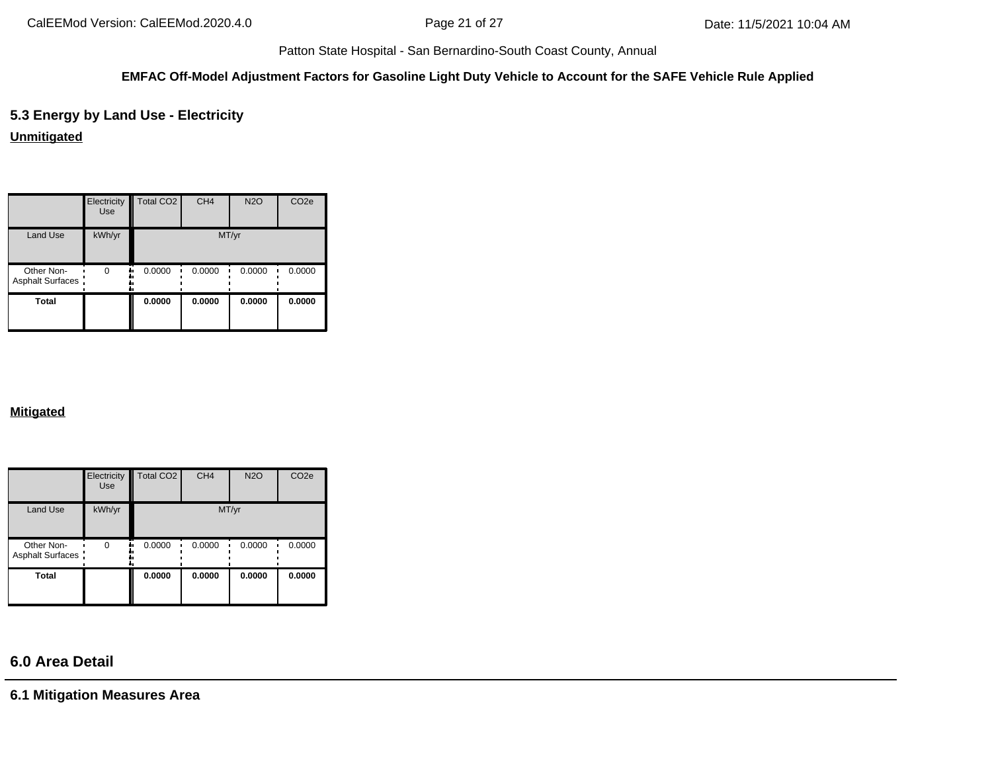### **EMFAC Off-Model Adjustment Factors for Gasoline Light Duty Vehicle to Account for the SAFE Vehicle Rule Applied**

**5.3 Energy by Land Use - Electricity**

**Unmitigated**

|                                | Electricity<br>Use | Total CO <sub>2</sub> | CH <sub>4</sub> | <b>N2O</b> | CO <sub>2e</sub> |
|--------------------------------|--------------------|-----------------------|-----------------|------------|------------------|
| <b>Land Use</b>                | kWh/yr             |                       |                 | MT/yr      |                  |
| Other Non-<br>Asphalt Surfaces | $\Omega$           | 0.0000                | 0.0000          | 0.0000     | 0.0000           |
| <b>Total</b>                   |                    | 0.0000                | 0.0000          | 0.0000     | 0.0000           |

### **Mitigated**

|                                       | Electricity<br>Use | Total CO <sub>2</sub> | CH <sub>4</sub> | <b>N2O</b> | CO <sub>2e</sub> |
|---------------------------------------|--------------------|-----------------------|-----------------|------------|------------------|
| Land Use                              | kWh/yr             |                       | MT/yr           |            |                  |
| Other Non-<br><b>Asphalt Surfaces</b> | $\Omega$           | 0.0000                | 0.0000          | 0.0000     | 0.0000           |
| <b>Total</b>                          |                    | 0.0000                | 0.0000          | 0.0000     | 0.0000           |

# **6.0 Area Detail**

**6.1 Mitigation Measures Area**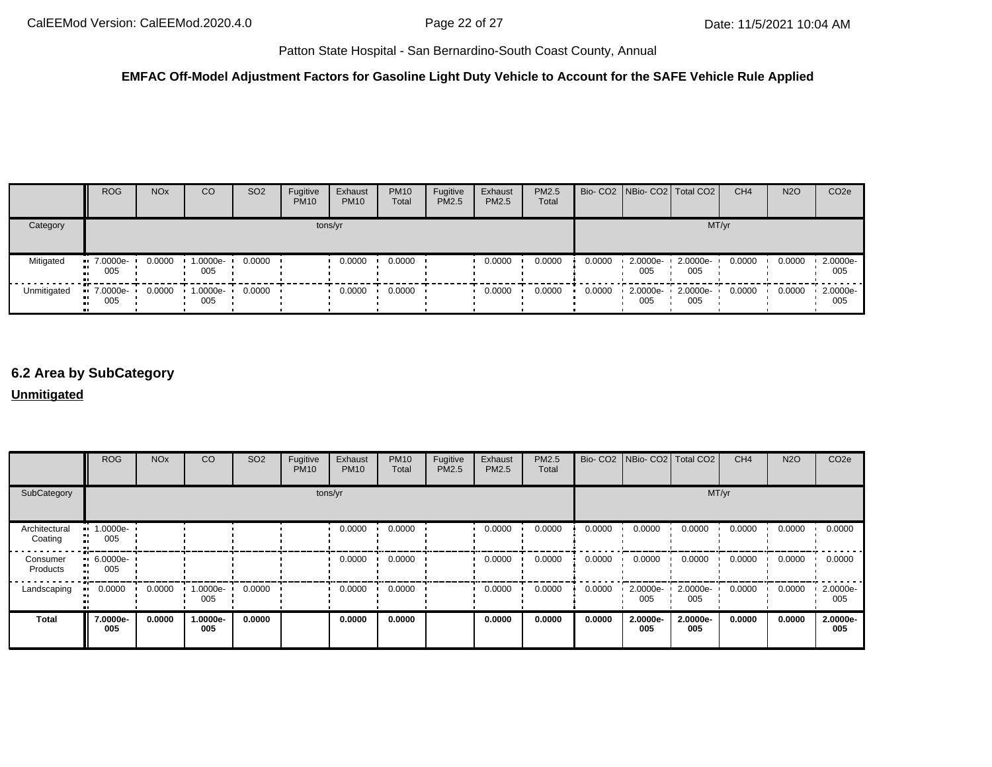### **EMFAC Off-Model Adjustment Factors for Gasoline Light Duty Vehicle to Account for the SAFE Vehicle Rule Applied**

|             | <b>ROG</b>         | <b>NO<sub>x</sub></b> | CO                 | SO <sub>2</sub> | Fugitive<br><b>PM10</b> | Exhaust<br><b>PM10</b> | <b>PM10</b><br>Total | Fugitive<br><b>PM2.5</b> | Exhaust<br><b>PM2.5</b> | <b>PM2.5</b><br>Total |        |                 | Bio- CO2 NBio- CO2 Total CO2 | CH <sub>4</sub> | <b>N2O</b> | CO <sub>2e</sub> |
|-------------|--------------------|-----------------------|--------------------|-----------------|-------------------------|------------------------|----------------------|--------------------------|-------------------------|-----------------------|--------|-----------------|------------------------------|-----------------|------------|------------------|
| Category    |                    |                       |                    |                 |                         | tons/yr                |                      |                          |                         |                       |        |                 | MT/yr                        |                 |            |                  |
| Mitigated   | $-7.0000e-$<br>005 | 0.0000                | 1.0000e-<br>005    | 0.0000          |                         | 0.0000                 | 0.0000               |                          | 0.0000                  | 0.0000                | 0.0000 | 2.0000e-<br>005 | 2.0000e-<br>005              | 0.0000          | 0.0000     | 2.0000e-<br>005  |
| Unmitigated | $-7.0000e-$<br>005 | 0.0000                | $-1.0000e-$<br>005 | 0.0000          |                         | 0.0000                 | 0.0000               |                          | 0.0000                  | 0.0000                | 0.0000 | 2.0000e-<br>005 | 2.0000e-<br>005              | 0.0000          | 0.0000     | 2.0000e-<br>005  |

# **6.2 Area by SubCategory**

### **Unmitigated**

|                          | <b>ROG</b>         | <b>NO<sub>x</sub></b> | CO              | SO <sub>2</sub> | Fugitive<br><b>PM10</b> | Exhaust<br><b>PM10</b> | <b>PM10</b><br>Total | Fugitive<br>PM2.5 | Exhaust<br>PM2.5 | PM2.5<br>Total |        | Bio- CO2   NBio- CO2   Total CO2 |                 | CH <sub>4</sub> | <b>N2O</b> | CO <sub>2</sub> e |
|--------------------------|--------------------|-----------------------|-----------------|-----------------|-------------------------|------------------------|----------------------|-------------------|------------------|----------------|--------|----------------------------------|-----------------|-----------------|------------|-------------------|
| SubCategory              |                    |                       |                 |                 |                         | tons/yr                |                      |                   |                  |                |        |                                  |                 | MT/yr           |            |                   |
| Architectural<br>Coating | $-1.0000e-$<br>005 |                       |                 |                 |                         | 0.0000                 | 0.0000               |                   | 0.0000           | 0.0000         | 0.0000 | 0.0000                           | 0.0000          | 0.0000          | 0.0000     | 0.0000            |
| Consumer<br>Products     | $-6.0000e-$<br>005 |                       |                 |                 |                         | 0.0000                 | 0.0000               |                   | 0.0000           | 0.0000         | 0.0000 | 0.0000                           | 0.0000          | 0.0000          | 0.0000     | 0.0000            |
| Landscaping              | 0.0000             | 0.0000                | 1.0000e-<br>005 | 0.0000          |                         | 0.0000                 | 0.0000               |                   | 0.0000           | 0.0000         | 0.0000 | 2.0000e<br>005                   | 2.0000e-<br>005 | 0.0000          | 0.0000     | 2.0000e-<br>005   |
| <b>Total</b>             | 7.0000e-<br>005    | 0.0000                | 1.0000e-<br>005 | 0.0000          |                         | 0.0000                 | 0.0000               |                   | 0.0000           | 0.0000         | 0.0000 | 2.0000e-<br>005                  | 2.0000e-<br>005 | 0.0000          | 0.0000     | 2.0000e-<br>005   |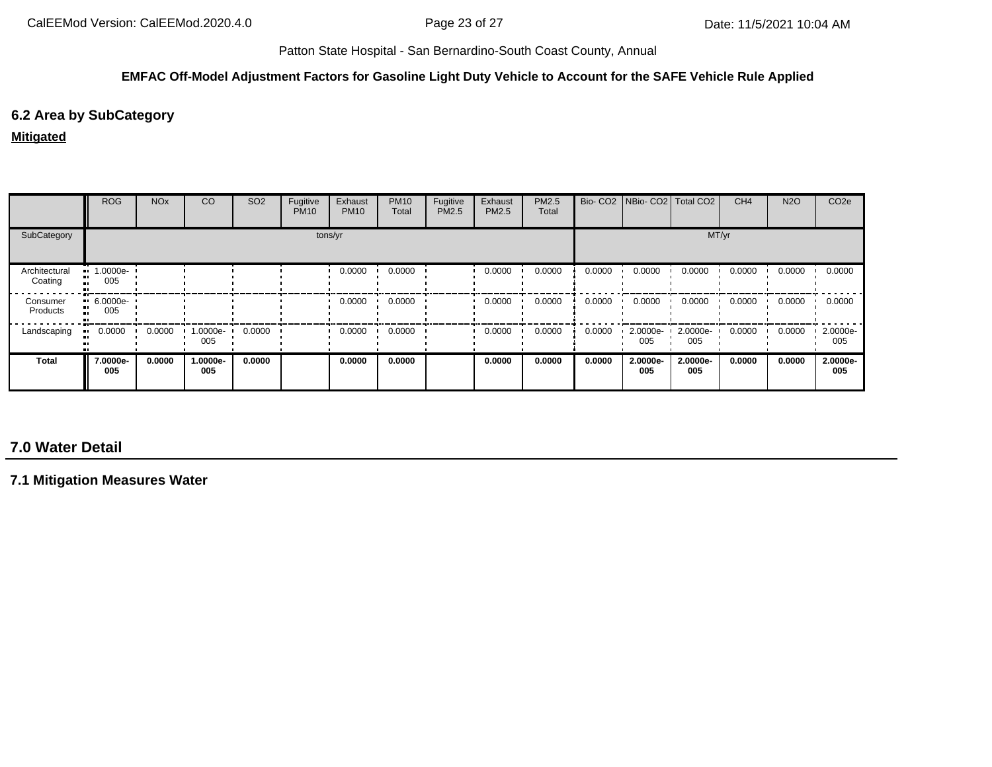### **EMFAC Off-Model Adjustment Factors for Gasoline Light Duty Vehicle to Account for the SAFE Vehicle Rule Applied**

# **6.2 Area by SubCategory**

### **Mitigated**

|                          | <b>ROG</b>                | <b>NO<sub>x</sub></b> | CO              | SO <sub>2</sub> | Fugitive<br><b>PM10</b> | Exhaust<br><b>PM10</b> | <b>PM10</b><br>Total | Fugitive<br>PM2.5 | Exhaust<br><b>PM2.5</b> | PM2.5<br>Total |        |                 | Bio- CO2 NBio- CO2 Total CO2 | CH <sub>4</sub> | <b>N2O</b> | CO <sub>2e</sub> |
|--------------------------|---------------------------|-----------------------|-----------------|-----------------|-------------------------|------------------------|----------------------|-------------------|-------------------------|----------------|--------|-----------------|------------------------------|-----------------|------------|------------------|
| SubCategory              |                           |                       |                 |                 |                         | tons/yr                |                      |                   |                         |                |        |                 |                              | MT/yr           |            |                  |
| Architectural<br>Coating | 1.0000e-<br>005           |                       |                 |                 |                         | 0.0000                 | 0.0000               |                   | 0.0000                  | 0.0000         | 0.0000 | 0.0000          | 0.0000                       | 0.0000          | 0.0000     | 0.0000           |
| Consumer<br>Products     | $-6.0000e-$<br>. .<br>005 |                       |                 |                 |                         | 0.0000                 | 0.0000               |                   | 0.0000                  | 0.0000         | 0.0000 | 0.0000          | 0.0000                       | 0.0000          | 0.0000     | 0.0000           |
| Landscaping              | 0.0000<br>                | 0.0000                | 1.0000e-<br>005 | 0.0000          |                         | 0.0000                 | 0.0000               |                   | 0.0000                  | 0.0000         | 0.0000 | 2.0000e-<br>005 | 2.0000e-<br>005              | 0.0000          | 0.0000     | 2.0000e-<br>005  |
| <b>Total</b>             | 7.0000e-<br>005           | 0.0000                | 1.0000e-<br>005 | 0.0000          |                         | 0.0000                 | 0.0000               |                   | 0.0000                  | 0.0000         | 0.0000 | 2.0000e-<br>005 | 2.0000e-<br>005              | 0.0000          | 0.0000     | 2.0000e-<br>005  |

# **7.0 Water Detail**

**7.1 Mitigation Measures Water**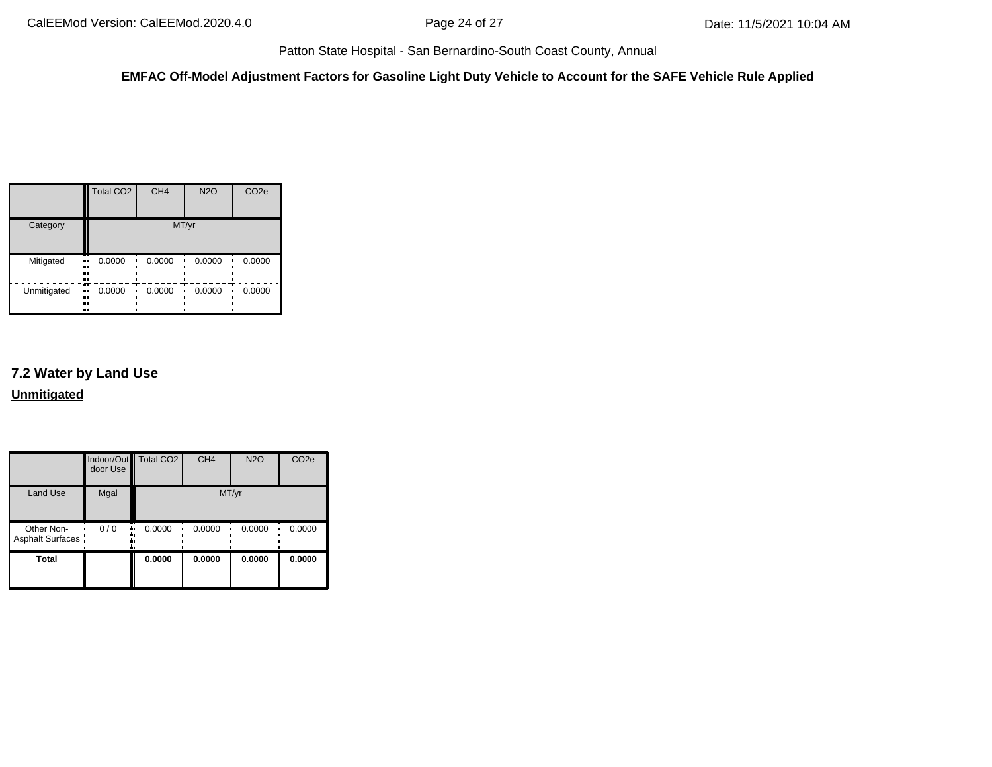**EMFAC Off-Model Adjustment Factors for Gasoline Light Duty Vehicle to Account for the SAFE Vehicle Rule Applied**

|             | <b>Total CO2</b>           | CH <sub>4</sub> | <b>N2O</b> | CO <sub>2e</sub> |
|-------------|----------------------------|-----------------|------------|------------------|
| Category    |                            | MT/yr           |            |                  |
| Mitigated   | 0.0000<br>ш,<br><br><br>., | 0.0000          | 0.0000     | 0.0000           |
| Unmitigated | 0.0000<br>ш.<br><br><br>ш  | 0.0000          | 0.0000     | 0.0000           |

# **7.2 Water by Land Use Unmitigated**

|                                       | door Use | Indoor/Out Total CO2 | CH <sub>4</sub> | <b>N2O</b> | CO <sub>2e</sub> |
|---------------------------------------|----------|----------------------|-----------------|------------|------------------|
| Land Use                              | Mgal     |                      | MT/yr           |            |                  |
| Other Non-<br><b>Asphalt Surfaces</b> | 0/0      | 0.0000               | 0.0000          | 0.0000     | 0.0000           |
| <b>Total</b>                          |          | 0.0000               | 0.0000          | 0.0000     | 0.0000           |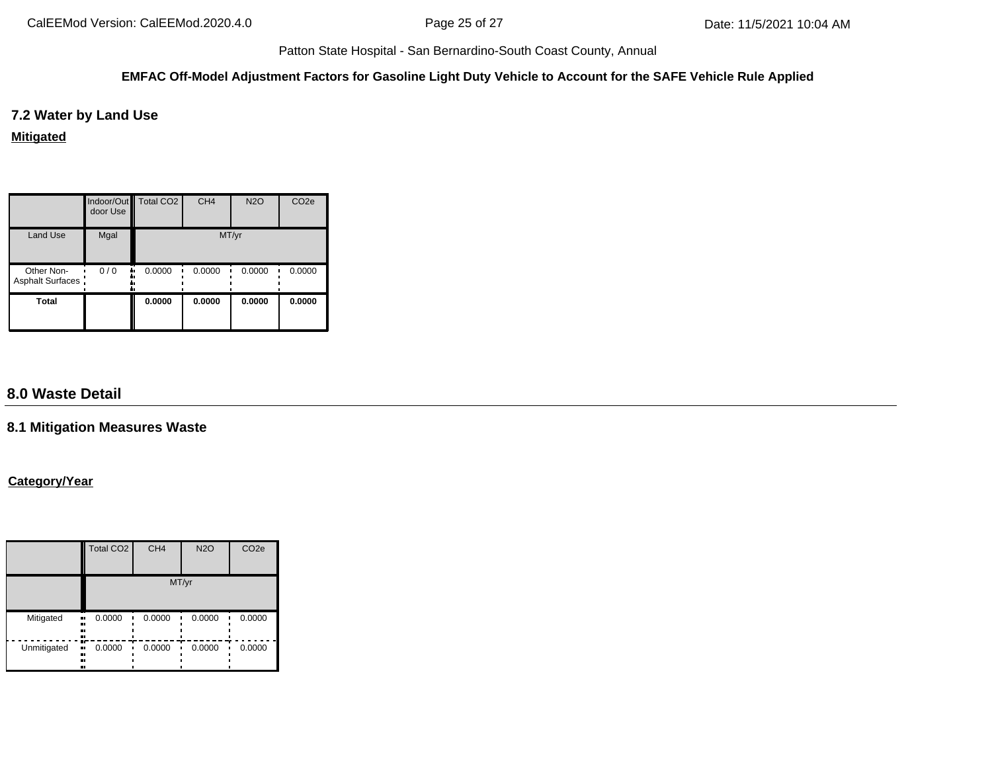### **EMFAC Off-Model Adjustment Factors for Gasoline Light Duty Vehicle to Account for the SAFE Vehicle Rule Applied**

**7.2 Water by Land Use**

**Mitigated**

|                                | Indoor/Out   Total CO2<br>door Use |              | CH <sub>4</sub> | <b>N2O</b> | CO <sub>2e</sub> |  |
|--------------------------------|------------------------------------|--------------|-----------------|------------|------------------|--|
| <b>Land Use</b>                | Mgal                               | MT/yr        |                 |            |                  |  |
| Other Non-<br>Asphalt Surfaces | 0/0                                | 0.0000<br>۰. | 0.0000          | 0.0000     | 0.0000           |  |
| <b>Total</b>                   |                                    | 0.0000       | 0.0000          | 0.0000     | 0.0000           |  |

# **8.0 Waste Detail**

# **8.1 Mitigation Measures Waste**

## **Category/Year**

|             | Total CO <sub>2</sub>       | CH <sub>4</sub> | <b>N2O</b> | CO <sub>2e</sub> |  |  |
|-------------|-----------------------------|-----------------|------------|------------------|--|--|
|             | MT/yr                       |                 |            |                  |  |  |
| Mitigated   | 0.0000<br><br><br><br>      | 0.0000          | 0.0000     | 0.0000           |  |  |
| Unmitigated | m<br>0.0000<br><br><br><br> | 0.0000          | 0.0000     | 0.0000           |  |  |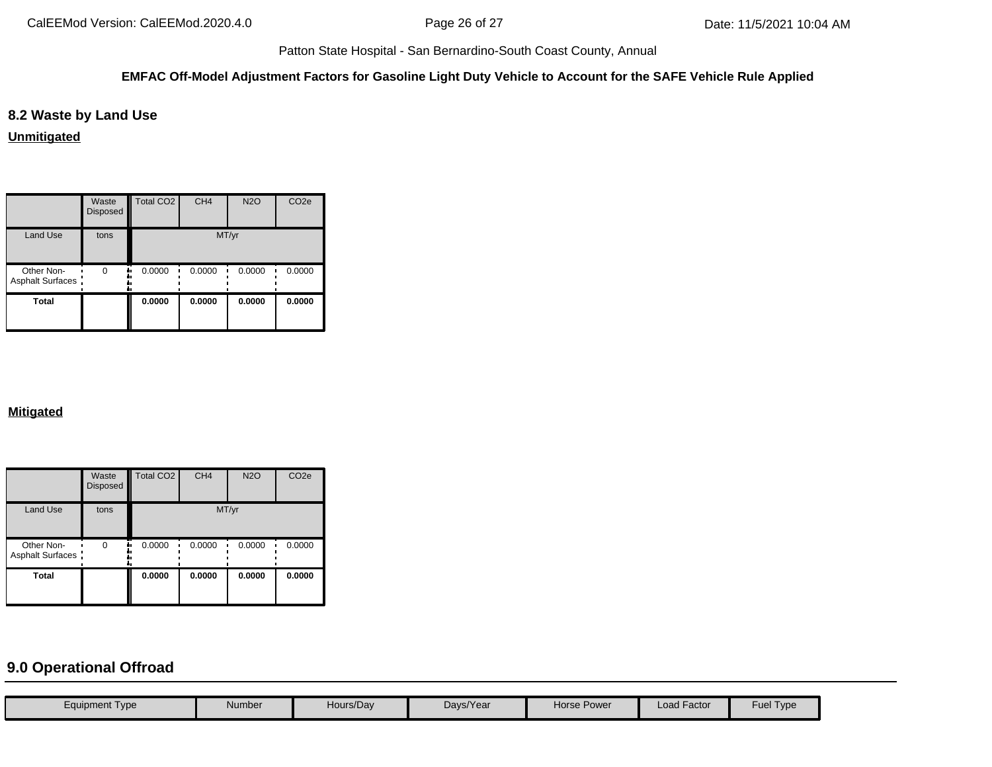#### **EMFAC Off-Model Adjustment Factors for Gasoline Light Duty Vehicle to Account for the SAFE Vehicle Rule Applied**

# **8.2 Waste by Land Use**

**Unmitigated**

|                                 | Waste<br>Disposed | Total CO <sub>2</sub> | CH <sub>4</sub> | <b>N2O</b> | CO <sub>2e</sub> |  |
|---------------------------------|-------------------|-----------------------|-----------------|------------|------------------|--|
| <b>Land Use</b>                 | tons              | MT/yr                 |                 |            |                  |  |
| Other Non-<br>Asphalt Surfaces: | $\Omega$          | 0.0000                | 0.0000          | 0.0000     | 0.0000           |  |
| <b>Total</b>                    |                   | 0.0000                | 0.0000          | 0.0000     | 0.0000           |  |

## **Mitigated**

|                                 | Waste<br><b>Disposed</b> | Total CO <sub>2</sub> | CH <sub>4</sub> | <b>N2O</b> | CO <sub>2e</sub> |  |
|---------------------------------|--------------------------|-----------------------|-----------------|------------|------------------|--|
| <b>Land Use</b>                 | tons                     | MT/yr                 |                 |            |                  |  |
| Other Non-<br>Asphalt Surfaces: | $\Omega$                 | 0.0000                | 0.0000          | 0.0000     | 0.0000           |  |
| <b>Total</b>                    |                          | 0.0000                | 0.0000          | 0.0000     | 0.0000           |  |

# **9.0 Operational Offroad**

| Equipment Type | Number | Hours/Day | Days/Year | Horse Power | <b>Load Factor</b> | Fuel Type |
|----------------|--------|-----------|-----------|-------------|--------------------|-----------|